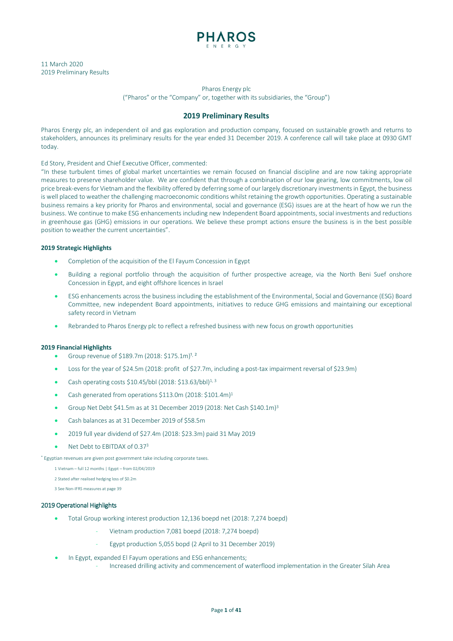

#### Pharos Energy plc

("Pharos" or the "Company" or, together with its subsidiaries, the "Group")

## **2019 Preliminary Results**

Pharos Energy plc, an independent oil and gas exploration and production company, focused on sustainable growth and returns to stakeholders, announces its preliminary results for the year ended 31 December 2019. A conference call will take place at 0930 GMT today.

Ed Story, President and Chief Executive Officer, commented:

"In these turbulent times of global market uncertainties we remain focused on financial discipline and are now taking appropriate measures to preserve shareholder value. We are confident that through a combination of our low gearing, low commitments, low oil price break-evens for Vietnam and the flexibility offered by deferring some of our largely discretionary investments in Egypt, the business is well placed to weather the challenging macroeconomic conditions whilst retaining the growth opportunities. Operating a sustainable business remains a key priority for Pharos and environmental, social and governance (ESG) issues are at the heart of how we run the business. We continue to make ESG enhancements including new Independent Board appointments, social investments and reductions in greenhouse gas (GHG) emissions in our operations. We believe these prompt actions ensure the business is in the best possible position to weather the current uncertainties".

#### **2019 Strategic Highlights**

- Completion of the acquisition of the El Fayum Concession in Egypt
- Building a regional portfolio through the acquisition of further prospective acreage, via the North Beni Suef onshore Concession in Egypt, and eight offshore licences in Israel
- ESG enhancements across the business including the establishment of the Environmental, Social and Governance (ESG) Board Committee, new independent Board appointments, initiatives to reduce GHG emissions and maintaining our exceptional safety record in Vietnam
- Rebranded to Pharos Energy plc to reflect a refreshed business with new focus on growth opportunities

#### **2019 Financial Highlights**

- Group revenue of \$189.7m (2018: \$175.1m)<sup>1, 2</sup>
- Loss for the year of \$24.5m (2018: profit of \$27.7m, including a post-tax impairment reversal of \$23.9m)
- Cash operating costs \$10.45/bbl (2018: \$13.63/bbl)<sup>1, 3</sup>
- Cash generated from operations \$113.0m (2018: \$101.4m)1
- Group Net Debt \$41.5m as at 31 December 2019 (2018: Net Cash \$140.1m)3
- Cash balances as at 31 December 2019 of \$58.5m
- 2019 full year dividend of \$27.4m (2018: \$23.3m) paid 31 May 2019
- Net Debt to EBITDAX of 0.37<sup>3</sup>

\* Egyptian revenues are given post government take including corporate taxes.

- 1 Vietnam full 12 months | Egypt from 02/04/2019
- 2 Stated after realised hedging loss of \$0.2m
- 3 See Non-IFRS measures at page 39

#### 2019 Operational Highlights

- Total Group working interest production 12,136 boepd net (2018: 7,274 boepd)
	- Vietnam production 7,081 boepd (2018: 7,274 boepd)
	- Egypt production 5,055 bopd (2 April to 31 December 2019)
- In Egypt, expanded El Fayum operations and ESG enhancements;
	- Increased drilling activity and commencement of waterflood implementation in the Greater Silah Area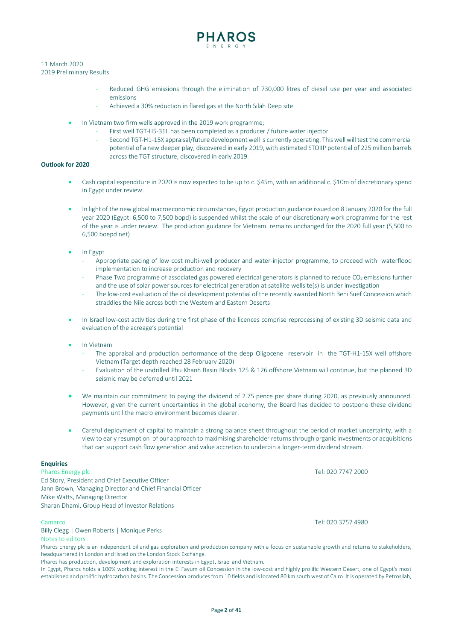

- Reduced GHG emissions through the elimination of 730,000 litres of diesel use per year and associated emissions
	- Achieved a 30% reduction in flared gas at the North Silah Deep site.
- In Vietnam two firm wells approved in the 2019 work programme;
	- First well TGT-H5-31I has been completed as a producer / future water injector
	- Second TGT-H1-15X appraisal/future development well is currently operating. Thiswell will test the commercial potential of a new deeper play, discovered in early 2019, with estimated STOIIP potential of 225 million barrels across the TGT structure, discovered in early 2019.

## **Outlook for 2020**

- Cash capital expenditure in 2020 is now expected to be up to c. \$45m, with an additional c. \$10m of discretionary spend in Egypt under review.
- In light of the new global macroeconomic circumstances, Egypt production guidance issued on 8 January 2020 for the full year 2020 (Egypt: 6,500 to 7,500 bopd) is suspended whilst the scale of our discretionary work programme for the rest of the year is under review. The production guidance for Vietnam remains unchanged for the 2020 full year (5,500 to 6,500 boepd net)
- In Egypt
	- Appropriate pacing of low cost multi-well producer and water-injector programme, to proceed with waterflood implementation to increase production and recovery
	- Phase Two programme of associated gas powered electrical generators is planned to reduce  $CO<sub>2</sub>$  emissions further and the use of solar power sources for electrical generation at satellite wellsite(s) is under investigation
	- The low-cost evaluation of the oil development potential of the recently awarded North Beni Suef Concession which straddles the Nile across both the Western and Eastern Deserts
- In Israel low-cost activities during the first phase of the licences comprise reprocessing of existing 3D seismic data and evaluation of the acreage's potential
- In Vietnam
	- The appraisal and production performance of the deep Oligocene reservoir in the TGT-H1-15X well offshore Vietnam (Target depth reached 28 February 2020)
	- Evaluation of the undrilled Phu Khanh Basin Blocks 125 & 126 offshore Vietnam will continue, but the planned 3D seismic may be deferred until 2021
- We maintain our commitment to paying the dividend of 2.75 pence per share during 2020, as previously announced. However, given the current uncertainties in the global economy, the Board has decided to postpone these dividend payments until the macro environment becomes clearer.
- Careful deployment of capital to maintain a strong balance sheet throughout the period of market uncertainty, with a view to early resumption of our approach to maximising shareholder returns through organic investments or acquisitions that can support cash flow generation and value accretion to underpin a longer-term dividend stream.

#### **Enquiries**

| Pharos Energy plc                                                                                                                                  | Tel: 020 7747 2000 |
|----------------------------------------------------------------------------------------------------------------------------------------------------|--------------------|
| Ed Story, President and Chief Executive Officer                                                                                                    |                    |
| Jann Brown, Managing Director and Chief Financial Officer                                                                                          |                    |
| Mike Watts, Managing Director                                                                                                                      |                    |
| Sharan Dhami, Group Head of Investor Relations                                                                                                     |                    |
| Camarco                                                                                                                                            | Tel: 020 3757 4980 |
| Billy Clegg   Owen Roberts   Monique Perks                                                                                                         |                    |
| Notes to editors                                                                                                                                   |                    |
| Pharos Energy plc is an independent oil and gas exploration and production company with a focus on sustainable growth and returns to stakeholders, |                    |

headquartered in London and listed on the London Stock Exchange. Pharos has production, development and exploration interests in Egypt, Israel and Vietnam.

In Egypt, Pharos holds a 100% working interest in the El Fayum oil Concession in the low-cost and highly prolific Western Desert, one of Egypt's most established and prolific hydrocarbon basins. The Concession produces from 10 fields and is located 80 km south west of Cairo. It is operated by Petrosilah,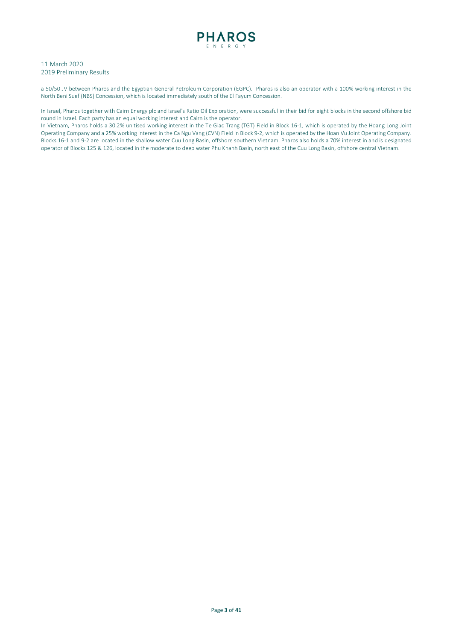

a 50/50 JV between Pharos and the Egyptian General Petroleum Corporation (EGPC). Pharos is also an operator with a 100% working interest in the North Beni Suef (NBS) Concession, which is located immediately south of the El Fayum Concession.

In Israel, Pharos together with Cairn Energy plc and Israel's Ratio Oil Exploration, were successful in their bid for eight blocks in the second offshore bid round in Israel. Each party has an equal working interest and Cairn is the operator.

In Vietnam, Pharos holds a 30.2% unitised working interest in the Te Giac Trang (TGT) Field in Block 16-1, which is operated by the Hoang Long Joint Operating Company and a 25% working interest in the Ca Ngu Vang (CVN) Field in Block 9-2, which is operated by the Hoan Vu Joint Operating Company. Blocks 16-1 and 9-2 are located in the shallow water Cuu Long Basin, offshore southern Vietnam. Pharos also holds a 70% interest in and is designated operator of Blocks 125 & 126, located in the moderate to deep water Phu Khanh Basin, north east of the Cuu Long Basin, offshore central Vietnam.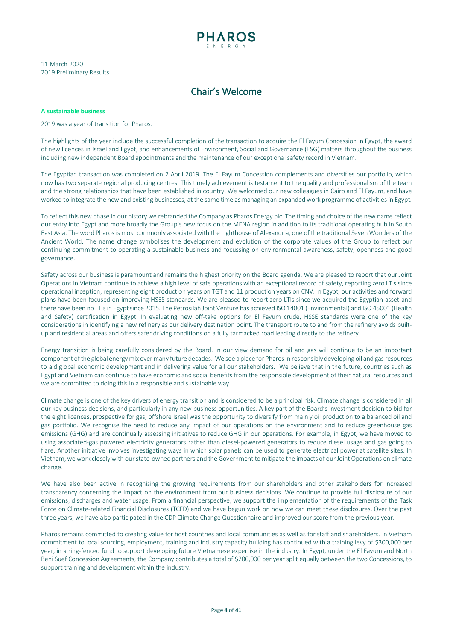

# Chair's Welcome

#### **A sustainable business**

2019 was a year of transition for Pharos.

The highlights of the year include the successful completion of the transaction to acquire the El Fayum Concession in Egypt, the award of new licences in Israel and Egypt, and enhancements of Environment, Social and Governance (ESG) matters throughout the business including new independent Board appointments and the maintenance of our exceptional safety record in Vietnam.

The Egyptian transaction was completed on 2 April 2019. The El Fayum Concession complements and diversifies our portfolio, which now has two separate regional producing centres. This timely achievement is testament to the quality and professionalism of the team and the strong relationships that have been established in country. We welcomed our new colleagues in Cairo and El Fayum, and have worked to integrate the new and existing businesses, at the same time as managing an expanded work programme of activities in Egypt.

To reflect this new phase in our history we rebranded the Company as Pharos Energy plc. The timing and choice of the new name reflect our entry into Egypt and more broadly the Group's new focus on the MENA region in addition to its traditional operating hub in South East Asia. The word Pharos is most commonly associated with the Lighthouse of Alexandria, one of the traditional Seven Wonders of the Ancient World. The name change symbolises the development and evolution of the corporate values of the Group to reflect our continuing commitment to operating a sustainable business and focussing on environmental awareness, safety, openness and good governance.

Safety across our business is paramount and remains the highest priority on the Board agenda. We are pleased to report that our Joint Operations in Vietnam continue to achieve a high level of safe operations with an exceptional record of safety, reporting zero LTIs since operational inception, representing eight production years on TGT and 11 production years on CNV. In Egypt, our activities and forward plans have been focused on improving HSES standards. We are pleased to report zero LTIs since we acquired the Egyptian asset and there have been no LTIs in Egypt since 2015. The Petrosilah Joint Venture has achieved ISO 14001 (Environmental) and ISO 45001 (Health and Safety) certification in Egypt. In evaluating new off-take options for El Fayum crude, HSSE standards were one of the key considerations in identifying a new refinery as our delivery destination point. The transport route to and from the refinery avoids builtup and residential areas and offers safer driving conditions on a fully tarmacked road leading directly to the refinery.

Energy transition is being carefully considered by the Board. In our view demand for oil and gas will continue to be an important component of the global energy mix over many future decades. We see a place for Pharos in responsibly developing oil and gas resources to aid global economic development and in delivering value for all our stakeholders. We believe that in the future, countries such as Egypt and Vietnam can continue to have economic and social benefits from the responsible development of their natural resources and we are committed to doing this in a responsible and sustainable way.

Climate change is one of the key drivers of energy transition and is considered to be a principal risk. Climate change is considered in all our key business decisions, and particularly in any new business opportunities. A key part of the Board's investment decision to bid for the eight licences, prospective for gas, offshore Israel was the opportunity to diversify from mainly oil production to a balanced oil and gas portfolio. We recognise the need to reduce any impact of our operations on the environment and to reduce greenhouse gas emissions (GHG) and are continually assessing initiatives to reduce GHG in our operations. For example, in Egypt, we have moved to using associated-gas powered electricity generators rather than diesel-powered generators to reduce diesel usage and gas going to flare. Another initiative involves investigating ways in which solar panels can be used to generate electrical power at satellite sites. In Vietnam, we work closely with our state-owned partners and the Government to mitigate the impacts of our Joint Operations on climate change.

We have also been active in recognising the growing requirements from our shareholders and other stakeholders for increased transparency concerning the impact on the environment from our business decisions. We continue to provide full disclosure of our emissions, discharges and water usage. From a financial perspective, we support the implementation of the requirements of the Task Force on Climate-related Financial Disclosures (TCFD) and we have begun work on how we can meet these disclosures. Over the past three years, we have also participated in the CDP Climate Change Questionnaire and improved our score from the previous year.

Pharos remains committed to creating value for host countries and local communities as well as for staff and shareholders. In Vietnam commitment to local sourcing, employment, training and industry capacity building has continued with a training levy of \$300,000 per year, in a ring-fenced fund to support developing future Vietnamese expertise in the industry. In Egypt, under the El Fayum and North Beni Suef Concession Agreements, the Company contributes a total of \$200,000 per year split equally between the two Concessions, to support training and development within the industry.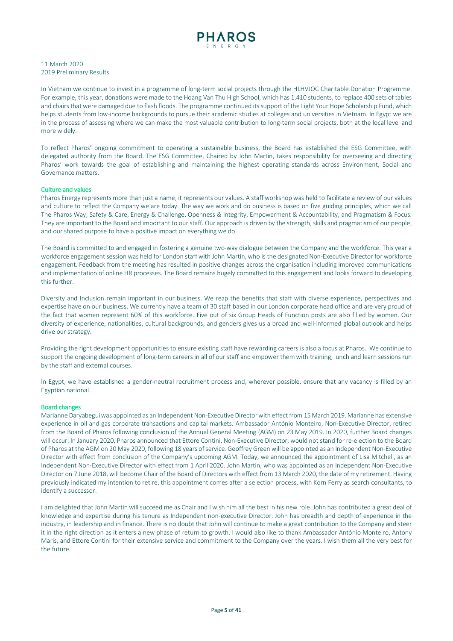

In Vietnam we continue to invest in a programme of long-term social projects through the HLHVJOC Charitable Donation Programme. For example, this year, donations were made to the Hoang Van Thu High School, which has 1,410 students, to replace 400 sets of tables and chairs that were damaged due to flash floods. The programme continued its support of the Light Your Hope Scholarship Fund, which helps students from low-income backgrounds to pursue their academic studies at colleges and universities in Vietnam. In Egypt we are in the process of assessing where we can make the most valuable contribution to long-term social projects, both at the local level and more widely.

To reflect Pharos' ongoing commitment to operating a sustainable business, the Board has established the ESG Committee, with delegated authority from the Board. The ESG Committee, Chaired by John Martin, takes responsibility for overseeing and directing Pharos' work towards the goal of establishing and maintaining the highest operating standards across Environment, Social and Governance matters.

## Culture and values

Pharos Energy represents more than just a name, it represents our values. A staff workshop was held to facilitate a review of our values and culture to reflect the Company we are today. The way we work and do business is based on five guiding principles, which we call The Pharos Way; Safety & Care, Energy & Challenge, Openness & Integrity, Empowerment & Accountability, and Pragmatism & Focus. They are important to the Board and important to our staff. Our approach is driven by the strength, skills and pragmatism of our people, and our shared purpose to have a positive impact on everything we do.

The Board is committed to and engaged in fostering a genuine two-way dialogue between the Company and the workforce. This year a workforce engagement session was held for London staff with John Martin, who is the designated Non-Executive Director for workforce engagement. Feedback from the meeting has resulted in positive changes across the organisation including improved communications and implementation of online HR processes. The Board remains hugely committed to this engagement and looks forward to developing this further.

Diversity and Inclusion remain important in our business. We reap the benefits that staff with diverse experience, perspectives and expertise have on our business. We currently have a team of 30 staff based in our London corporate head office and are very proud of the fact that women represent 60% of this workforce. Five out of six Group Heads of Function posts are also filled by women. Our diversity of experience, nationalities, cultural backgrounds, and genders gives us a broad and well-informed global outlook and helps drive our strategy.

Providing the right development opportunities to ensure existing staff have rewarding careers is also a focus at Pharos. We continue to support the ongoing development of long-term careers in all of our staff and empower them with training, lunch and learn sessions run by the staff and external courses.

In Egypt, we have established a gender-neutral recruitment process and, wherever possible, ensure that any vacancy is filled by an Egyptian national.

#### Board changes

Marianne Daryabegui was appointed as an Independent Non-Executive Director with effect from 15 March 2019. Marianne has extensive experience in oil and gas corporate transactions and capital markets. Ambassador António Monteiro, Non-Executive Director, retired from the Board of Pharos following conclusion of the Annual General Meeting (AGM) on 23 May 2019. In 2020, further Board changes will occur. In January 2020, Pharos announced that Ettore Contini, Non-Executive Director, would not stand for re-election to the Board of Pharos at the AGM on 20 May 2020, following 18 years of service. Geoffrey Green will be appointed as an Independent Non-Executive Director with effect from conclusion of the Company's upcoming AGM. Today, we announced the appointment of Lisa Mitchell, as an Independent Non-Executive Director with effect from 1 April 2020. John Martin, who was appointed as an Independent Non-Executive Director on 7 June 2018, will become Chair of the Board of Directors with effect from 13 March 2020, the date of my retirement. Having previously indicated my intention to retire, this appointment comes after a selection process, with Korn Ferry as search consultants, to identify a successor.

I am delighted that John Martin will succeed me as Chair and I wish him all the best in his new role. John has contributed a great deal of knowledge and expertise during his tenure as Independent non-executive Director. John has breadth and depth of experience in the industry, in leadership and in finance. There is no doubt that John will continue to make a great contribution to the Company and steer it in the right direction as it enters a new phase of return to growth. I would also like to thank Ambassador António Monteiro, Antony Maris, and Ettore Contini for their extensive service and commitment to the Company over the years. I wish them all the very best for the future.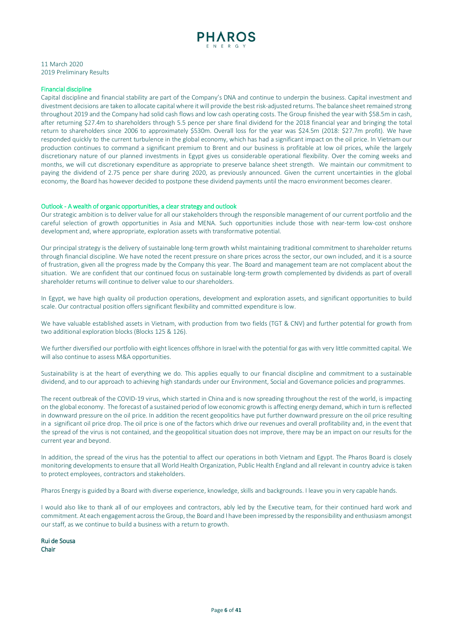

#### Financial discipline

Capital discipline and financial stability are part of the Company's DNA and continue to underpin the business. Capital investment and divestment decisions are taken to allocate capital where it will provide the best risk-adjusted returns. The balance sheet remained strong throughout 2019 and the Company had solid cash flows and low cash operating costs. The Group finished the year with \$58.5m in cash, after returning \$27.4m to shareholders through 5.5 pence per share final dividend for the 2018 financial year and bringing the total return to shareholders since 2006 to approximately \$530m. Overall loss for the year was \$24.5m (2018: \$27.7m profit). We have responded quickly to the current turbulence in the global economy, which has had a significant impact on the oil price. In Vietnam our production continues to command a significant premium to Brent and our business is profitable at low oil prices, while the largely discretionary nature of our planned investments in Egypt gives us considerable operational flexibility. Over the coming weeks and months, we will cut discretionary expenditure as appropriate to preserve balance sheet strength. We maintain our commitment to paying the dividend of 2.75 pence per share during 2020, as previously announced. Given the current uncertainties in the global economy, the Board has however decided to postpone these dividend payments until the macro environment becomes clearer.

#### Outlook - A wealth of organic opportunities, a clear strategy and outlook

Our strategic ambition is to deliver value for all our stakeholders through the responsible management of our current portfolio and the careful selection of growth opportunities in Asia and MENA. Such opportunities include those with near-term low-cost onshore development and, where appropriate, exploration assets with transformative potential.

Our principal strategy is the delivery of sustainable long-term growth whilst maintaining traditional commitment to shareholder returns through financial discipline. We have noted the recent pressure on share prices across the sector, our own included, and it is a source of frustration, given all the progress made by the Company this year. The Board and management team are not complacent about the situation. We are confident that our continued focus on sustainable long-term growth complemented by dividends as part of overall shareholder returns will continue to deliver value to our shareholders.

In Egypt, we have high quality oil production operations, development and exploration assets, and significant opportunities to build scale. Our contractual position offers significant flexibility and committed expenditure is low.

We have valuable established assets in Vietnam, with production from two fields (TGT & CNV) and further potential for growth from two additional exploration blocks (Blocks 125 & 126).

We further diversified our portfolio with eight licences offshore in Israel with the potential for gas with very little committed capital. We will also continue to assess M&A opportunities.

Sustainability is at the heart of everything we do. This applies equally to our financial discipline and commitment to a sustainable dividend, and to our approach to achieving high standards under our Environment, Social and Governance policies and programmes.

The recent outbreak of the COVID-19 virus, which started in China and is now spreading throughout the rest of the world, is impacting on the global economy. The forecast of a sustained period of low economic growth is affecting energy demand, which in turn is reflected in downward pressure on the oil price. In addition the recent geopolitics have put further downward pressure on the oil price resulting in a significant oil price drop. The oil price is one of the factors which drive our revenues and overall profitability and, in the event that the spread of the virus is not contained, and the geopolitical situation does not improve, there may be an impact on our results for the current year and beyond.

In addition, the spread of the virus has the potential to affect our operations in both Vietnam and Egypt. The Pharos Board is closely monitoring developments to ensure that all World Health Organization, Public Health England and all relevant in country advice is taken to protect employees, contractors and stakeholders.

Pharos Energy is guided by a Board with diverse experience, knowledge, skills and backgrounds. I leave you in very capable hands.

I would also like to thank all of our employees and contractors, ably led by the Executive team, for their continued hard work and commitment. At each engagement across the Group, the Board and I have been impressed by the responsibility and enthusiasm amongst our staff, as we continue to build a business with a return to growth.

Rui de Sousa Chair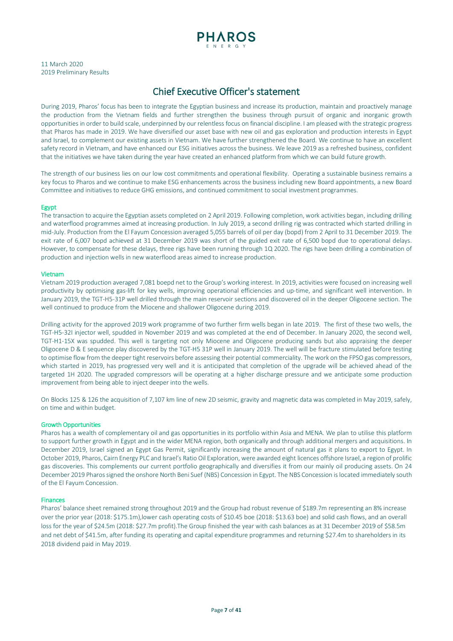

# Chief Executive Officer's statement

During 2019, Pharos' focus has been to integrate the Egyptian business and increase its production, maintain and proactively manage the production from the Vietnam fields and further strengthen the business through pursuit of organic and inorganic growth opportunities in order to build scale, underpinned by our relentless focus on financial discipline. I am pleased with the strategic progress that Pharos has made in 2019. We have diversified our asset base with new oil and gas exploration and production interests in Egypt and Israel, to complement our existing assets in Vietnam. We have further strengthened the Board. We continue to have an excellent safety record in Vietnam, and have enhanced our ESG initiatives across the business. We leave 2019 as a refreshed business, confident that the initiatives we have taken during the year have created an enhanced platform from which we can build future growth.

The strength of our business lies on our low cost commitments and operational flexibility. Operating a sustainable business remains a key focus to Pharos and we continue to make ESG enhancements across the business including new Board appointments, a new Board Committee and initiatives to reduce GHG emissions, and continued commitment to social investment programmes.

## Egypt

The transaction to acquire the Egyptian assets completed on 2 April 2019. Following completion, work activities began, including drilling and waterflood programmes aimed at increasing production. In July 2019, a second drilling rig was contracted which started drilling in mid-July. Production from the El Fayum Concession averaged 5,055 barrels of oil per day (bopd) from 2 April to 31 December 2019. The exit rate of 6,007 bopd achieved at 31 December 2019 was short of the guided exit rate of 6,500 bopd due to operational delays. However, to compensate for these delays, three rigs have been running through 1Q 2020. The rigs have been drilling a combination of production and injection wells in new waterflood areas aimed to increase production.

## Vietnam

Vietnam 2019 production averaged 7,081 boepd net to the Group's working interest. In 2019, activities were focused on increasing well productivity by optimising gas-lift for key wells, improving operational efficiencies and up-time, and significant well intervention. In January 2019, the TGT-H5-31P well drilled through the main reservoir sections and discovered oil in the deeper Oligocene section. The well continued to produce from the Miocene and shallower Oligocene during 2019.

Drilling activity for the approved 2019 work programme of two further firm wells began in late 2019. The first of these two wells, the TGT-H5-32I injector well, spudded in November 2019 and was completed at the end of December. In January 2020, the second well, TGT-H1-15X was spudded. This well is targeting not only Miocene and Oligocene producing sands but also appraising the deeper Oligocene D & E sequence play discovered by the TGT-H5 31P well in January 2019. The well will be fracture stimulated before testing to optimise flow from the deeper tight reservoirs before assessing their potential commerciality. The work on the FPSO gas compressors, which started in 2019, has progressed very well and it is anticipated that completion of the upgrade will be achieved ahead of the targeted 1H 2020. The upgraded compressors will be operating at a higher discharge pressure and we anticipate some production improvement from being able to inject deeper into the wells.

On Blocks 125 & 126 the acquisition of 7,107 km line of new 2D seismic, gravity and magnetic data was completed in May 2019, safely, on time and within budget.

## Growth Opportunities

Pharos has a wealth of complementary oil and gas opportunities in its portfolio within Asia and MENA. We plan to utilise this platform to support further growth in Egypt and in the wider MENA region, both organically and through additional mergers and acquisitions. In December 2019, Israel signed an Egypt Gas Permit, significantly increasing the amount of natural gas it plans to export to Egypt. In October 2019, Pharos, Cairn Energy PLC and Israel's Ratio Oil Exploration, were awarded eight licences offshore Israel, a region of prolific gas discoveries. This complements our current portfolio geographically and diversifies it from our mainly oil producing assets. On 24 December 2019 Pharos signed the onshore North Beni Suef (NBS) Concession in Egypt. The NBS Concession is located immediately south of the El Fayum Concession.

## Finances

Pharos' balance sheet remained strong throughout 2019 and the Group had robust revenue of \$189.7m representing an 8% increase over the prior year (2018: \$175.1m),lower cash operating costs of \$10.45 boe (2018: \$13.63 boe) and solid cash flows, and an overall loss for the year of \$24.5m (2018: \$27.7m profit).The Group finished the year with cash balances as at 31 December 2019 of \$58.5m and net debt of \$41.5m, after funding its operating and capital expenditure programmes and returning \$27.4m to shareholders in its 2018 dividend paid in May 2019.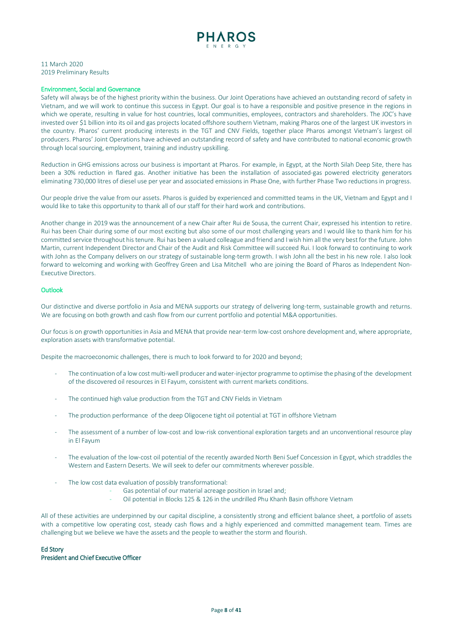

#### Environment, Social and Governance

Safety will always be of the highest priority within the business. Our Joint Operations have achieved an outstanding record of safety in Vietnam, and we will work to continue this success in Egypt. Our goal is to have a responsible and positive presence in the regions in which we operate, resulting in value for host countries, local communities, employees, contractors and shareholders. The JOC's have invested over \$1 billion into its oil and gas projects located offshore southern Vietnam, making Pharos one of the largest UK investors in the country. Pharos' current producing interests in the TGT and CNV Fields, together place Pharos amongst Vietnam's largest oil producers. Pharos' Joint Operations have achieved an outstanding record of safety and have contributed to national economic growth through local sourcing, employment, training and industry upskilling.

Reduction in GHG emissions across our business is important at Pharos. For example, in Egypt, at the North Silah Deep Site, there has been a 30% reduction in flared gas. Another initiative has been the installation of associated-gas powered electricity generators eliminating 730,000 litres of diesel use per year and associated emissions in Phase One, with further Phase Two reductions in progress.

Our people drive the value from our assets. Pharos is guided by experienced and committed teams in the UK, Vietnam and Egypt and I would like to take this opportunity to thank all of our staff for their hard work and contributions.

Another change in 2019 was the announcement of a new Chair after Rui de Sousa, the current Chair, expressed his intention to retire. Rui has been Chair during some of our most exciting but also some of our most challenging years and I would like to thank him for his committed service throughout his tenure. Rui has been a valued colleague and friend and I wish him all the very best for the future. John Martin, current Independent Director and Chair of the Audit and Risk Committee will succeed Rui. I look forward to continuing to work with John as the Company delivers on our strategy of sustainable long-term growth. I wish John all the best in his new role. I also look forward to welcoming and working with Geoffrey Green and Lisa Mitchell who are joining the Board of Pharos as Independent Non-Executive Directors.

#### **Outlook**

Our distinctive and diverse portfolio in Asia and MENA supports our strategy of delivering long-term, sustainable growth and returns. We are focusing on both growth and cash flow from our current portfolio and potential M&A opportunities.

Our focus is on growth opportunities in Asia and MENA that provide near-term low-cost onshore development and, where appropriate, exploration assets with transformative potential.

Despite the macroeconomic challenges, there is much to look forward to for 2020 and beyond;

- The continuation of a low cost multi-well producer and water-injector programme to optimise the phasing of the development of the discovered oil resources in El Fayum, consistent with current markets conditions.
- The continued high value production from the TGT and CNV Fields in Vietnam
- The production performance of the deep Oligocene tight oil potential at TGT in offshore Vietnam
- The assessment of a number of low-cost and low-risk conventional exploration targets and an unconventional resource play in El Fayum
- The evaluation of the low-cost oil potential of the recently awarded North Beni Suef Concession in Egypt, which straddles the Western and Eastern Deserts. We will seek to defer our commitments wherever possible.
- The low cost data evaluation of possibly transformational:
	- Gas potential of our material acreage position in Israel and;
	- Oil potential in Blocks 125 & 126 in the undrilled Phu Khanh Basin offshore Vietnam

All of these activities are underpinned by our capital discipline, a consistently strong and efficient balance sheet, a portfolio of assets with a competitive low operating cost, steady cash flows and a highly experienced and committed management team. Times are challenging but we believe we have the assets and the people to weather the storm and flourish.

## Ed Story President and Chief Executive Officer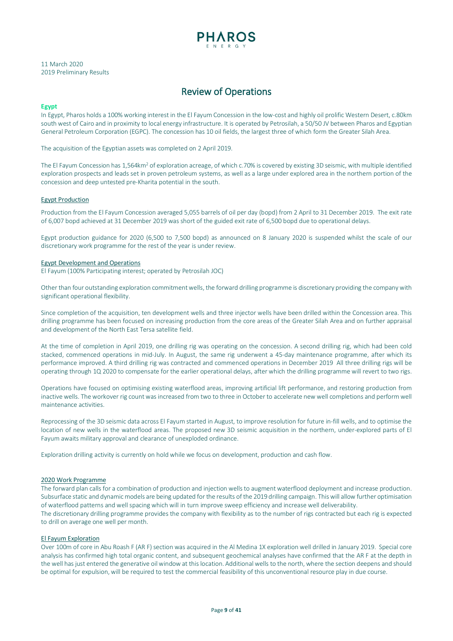

# Review of Operations

## **Egypt**

In Egypt, Pharos holds a 100% working interest in the El Fayum Concession in the low-cost and highly oil prolific Western Desert, c.80km south west of Cairo and in proximity to local energy infrastructure. It is operated by Petrosilah, a 50/50 JV between Pharos and Egyptian General Petroleum Corporation (EGPC). The concession has 10 oil fields, the largest three of which form the Greater Silah Area.

The acquisition of the Egyptian assets was completed on 2 April 2019.

The El Fayum Concession has 1,564km<sup>2</sup> of exploration acreage, of which c.70% is covered by existing 3D seismic, with multiple identified exploration prospects and leads set in proven petroleum systems, as well as a large under explored area in the northern portion of the concession and deep untested pre-Kharita potential in the south.

## Egypt Production

Production from the El Fayum Concession averaged 5,055 barrels of oil per day (bopd) from 2 April to 31 December 2019. The exit rate of 6,007 bopd achieved at 31 December 2019 was short of the guided exit rate of 6,500 bopd due to operational delays.

Egypt production guidance for 2020 (6,500 to 7,500 bopd) as announced on 8 January 2020 is suspended whilst the scale of our discretionary work programme for the rest of the year is under review.

#### Egypt Development and Operations

El Fayum (100% Participating interest; operated by Petrosilah JOC)

Other than four outstanding exploration commitment wells, the forward drilling programme is discretionary providing the company with significant operational flexibility.

Since completion of the acquisition, ten development wells and three injector wells have been drilled within the Concession area. This drilling programme has been focused on increasing production from the core areas of the Greater Silah Area and on further appraisal and development of the North East Tersa satellite field.

At the time of completion in April 2019, one drilling rig was operating on the concession. A second drilling rig, which had been cold stacked, commenced operations in mid-July. In August, the same rig underwent a 45-day maintenance programme, after which its performance improved. A third drilling rig was contracted and commenced operations in December 2019 All three drilling rigs will be operating through 1Q 2020 to compensate for the earlier operational delays, after which the drilling programme will revert to two rigs.

Operations have focused on optimising existing waterflood areas, improving artificial lift performance, and restoring production from inactive wells. The workover rig count was increased from two to three in October to accelerate new well completions and perform well maintenance activities.

Reprocessing of the 3D seismic data across El Fayum started in August, to improve resolution for future in-fill wells, and to optimise the location of new wells in the waterflood areas. The proposed new 3D seismic acquisition in the northern, under-explored parts of El Fayum awaits military approval and clearance of unexploded ordinance.

Exploration drilling activity is currently on hold while we focus on development, production and cash flow.

## 2020 Work Programme

The forward plan calls for a combination of production and injection wells to augment waterflood deployment and increase production. Subsurface static and dynamic models are being updated for the results of the 2019 drilling campaign. This will allow further optimisation of waterflood patterns and well spacing which will in turn improve sweep efficiency and increase well deliverability. The discretionary drilling programme provides the company with flexibility as to the number of rigs contracted but each rig is expected to drill on average one well per month.

## El Fayum Exploration

Over 100m of core in Abu Roash F (AR F) section was acquired in the Al Medina 1X exploration well drilled in January 2019. Special core analysis has confirmed high total organic content, and subsequent geochemical analyses have confirmed that the AR F at the depth in the well has just entered the generative oil window at this location. Additional wells to the north, where the section deepens and should be optimal for expulsion, will be required to test the commercial feasibility of this unconventional resource play in due course.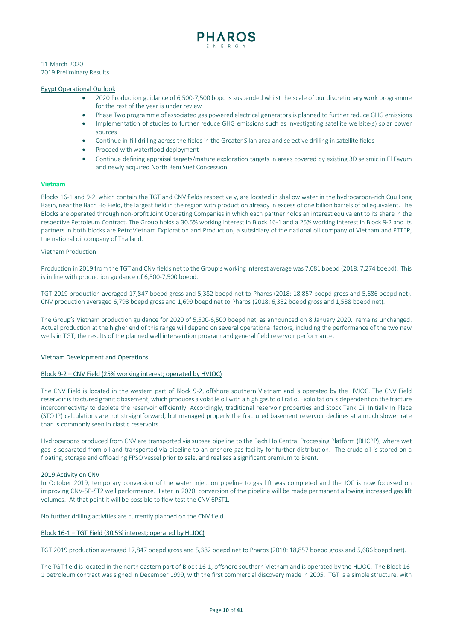

#### Egypt Operational Outlook

- 2020 Production guidance of 6,500-7,500 bopd is suspended whilst the scale of our discretionary work programme for the rest of the year is under review
- Phase Two programme of associated gas powered electrical generators is planned to further reduce GHG emissions
- Implementation of studies to further reduce GHG emissions such as investigating satellite wellsite(s) solar power sources
- Continue in-fill drilling across the fields in the Greater Silah area and selective drilling in satellite fields
- Proceed with waterflood deployment
- Continue defining appraisal targets/mature exploration targets in areas covered by existing 3D seismic in El Fayum and newly acquired North Beni Suef Concession

#### **Vietnam**

Blocks 16-1 and 9-2, which contain the TGT and CNV fields respectively, are located in shallow water in the hydrocarbon-rich Cuu Long Basin, near the Bach Ho Field, the largest field in the region with production already in excess of one billion barrels of oil equivalent. The Blocks are operated through non-profit Joint Operating Companies in which each partner holds an interest equivalent to its share in the respective Petroleum Contract. The Group holds a 30.5% working interest in Block 16-1 and a 25% working interest in Block 9-2 and its partners in both blocks are PetroVietnam Exploration and Production, a subsidiary of the national oil company of Vietnam and PTTEP, the national oil company of Thailand.

#### Vietnam Production

Production in 2019 from the TGT and CNV fields net to the Group's working interest average was 7,081 boepd (2018: 7,274 boepd). This is in line with production guidance of 6,500-7,500 boepd.

TGT 2019 production averaged 17,847 boepd gross and 5,382 boepd net to Pharos (2018: 18,857 boepd gross and 5,686 boepd net). CNV production averaged 6,793 boepd gross and 1,699 boepd net to Pharos (2018: 6,352 boepd gross and 1,588 boepd net).

The Group's Vietnam production guidance for 2020 of 5,500-6,500 boepd net, as announced on 8 January 2020, remains unchanged. Actual production at the higher end of this range will depend on several operational factors, including the performance of the two new wells in TGT, the results of the planned well intervention program and general field reservoir performance.

#### Vietnam Development and Operations

#### Block 9-2 – CNV Field (25% working interest; operated by HVJOC)

The CNV Field is located in the western part of Block 9-2, offshore southern Vietnam and is operated by the HVJOC. The CNV Field reservoir is fractured granitic basement, which produces a volatile oil with a high gas to oil ratio. Exploitation is dependent on the fracture interconnectivity to deplete the reservoir efficiently. Accordingly, traditional reservoir properties and Stock Tank Oil Initially In Place (STOIIP) calculations are not straightforward, but managed properly the fractured basement reservoir declines at a much slower rate than is commonly seen in clastic reservoirs.

Hydrocarbons produced from CNV are transported via subsea pipeline to the Bach Ho Central Processing Platform (BHCPP), where wet gas is separated from oil and transported via pipeline to an onshore gas facility for further distribution. The crude oil is stored on a floating, storage and offloading FPSO vessel prior to sale, and realises a significant premium to Brent.

### 2019 Activity on CNV

In October 2019, temporary conversion of the water injection pipeline to gas lift was completed and the JOC is now focussed on improving CNV-5P-ST2 well performance. Later in 2020, conversion of the pipeline will be made permanent allowing increased gas lift volumes. At that point it will be possible to flow test the CNV 6PST1.

No further drilling activities are currently planned on the CNV field.

## Block 16-1 – TGT Field (30.5% interest; operated by HLJOC)

TGT 2019 production averaged 17,847 boepd gross and 5,382 boepd net to Pharos (2018: 18,857 boepd gross and 5,686 boepd net).

The TGT field is located in the north eastern part of Block 16-1, offshore southern Vietnam and is operated by the HLJOC. The Block 16- 1 petroleum contract was signed in December 1999, with the first commercial discovery made in 2005. TGT is a simple structure, with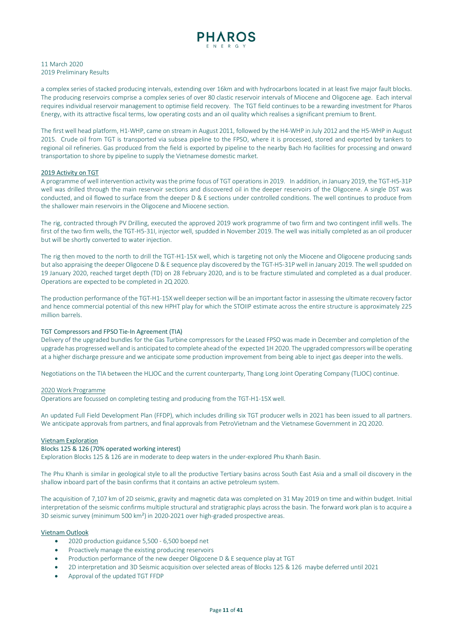

a complex series of stacked producing intervals, extending over 16km and with hydrocarbons located in at least five major fault blocks. The producing reservoirs comprise a complex series of over 80 clastic reservoir intervals of Miocene and Oligocene age. Each interval requires individual reservoir management to optimise field recovery. The TGT field continues to be a rewarding investment for Pharos Energy, with its attractive fiscal terms, low operating costs and an oil quality which realises a significant premium to Brent.

The first well head platform, H1-WHP, came on stream in August 2011, followed by the H4-WHP in July 2012 and the H5-WHP in August 2015. Crude oil from TGT is transported via subsea pipeline to the FPSO, where it is processed, stored and exported by tankers to regional oil refineries. Gas produced from the field is exported by pipeline to the nearby Bach Ho facilities for processing and onward transportation to shore by pipeline to supply the Vietnamese domestic market.

## 2019 Activity on TGT

A programme of well intervention activity was the prime focus of TGT operations in 2019. In addition, in January 2019, the TGT-H5-31P well was drilled through the main reservoir sections and discovered oil in the deeper reservoirs of the Oligocene. A single DST was conducted, and oil flowed to surface from the deeper D & E sections under controlled conditions. The well continues to produce from the shallower main reservoirs in the Oligocene and Miocene section.

The rig, contracted through PV Drilling, executed the approved 2019 work programme of two firm and two contingent infill wells. The first of the two firm wells, the TGT-H5-31I, injector well, spudded in November 2019. The well was initially completed as an oil producer but will be shortly converted to water injection.

The rig then moved to the north to drill the TGT-H1-15X well, which is targeting not only the Miocene and Oligocene producing sands but also appraising the deeper Oligocene D & E sequence play discovered by the TGT-H5-31P well in January 2019. The well spudded on 19 January 2020, reached target depth (TD) on 28 February 2020, and is to be fracture stimulated and completed as a dual producer. Operations are expected to be completed in 2Q 2020.

The production performance of the TGT-H1-15X well deeper section will be an important factor in assessing the ultimate recovery factor and hence commercial potential of this new HPHT play for which the STOIIP estimate across the entire structure is approximately 225 million barrels.

## TGT Compressors and FPSO Tie-In Agreement (TIA)

Delivery of the upgraded bundles for the Gas Turbine compressors for the Leased FPSO was made in December and completion of the upgrade has progressed well and is anticipated to complete ahead of the expected 1H 2020. The upgraded compressors will be operating at a higher discharge pressure and we anticipate some production improvement from being able to inject gas deeper into the wells.

Negotiations on the TIA between the HLJOC and the current counterparty, Thang Long Joint Operating Company (TLJOC) continue.

#### 2020 Work Programme

Operations are focussed on completing testing and producing from the TGT-H1-15X well.

An updated Full Field Development Plan (FFDP), which includes drilling six TGT producer wells in 2021 has been issued to all partners. We anticipate approvals from partners, and final approvals from PetroVietnam and the Vietnamese Government in 2Q 2020.

## Vietnam Exploration

#### Blocks 125 & 126 (70% operated working interest)

Exploration Blocks 125 & 126 are in moderate to deep waters in the under-explored Phu Khanh Basin.

The Phu Khanh is similar in geological style to all the productive Tertiary basins across South East Asia and a small oil discovery in the shallow inboard part of the basin confirms that it contains an active petroleum system.

The acquisition of 7,107 km of 2D seismic, gravity and magnetic data was completed on 31 May 2019 on time and within budget. Initial interpretation of the seismic confirms multiple structural and stratigraphic plays across the basin. The forward work plan is to acquire a 3D seismic survey (minimum 500 km²) in 2020-2021 over high-graded prospective areas.

### Vietnam Outlook

- 2020 production guidance 5,500 6,500 boepd net
- Proactively manage the existing producing reservoirs
- Production performance of the new deeper Oligocene D & E sequence play at TGT
- 2D interpretation and 3D Seismic acquisition over selected areas of Blocks 125 & 126 maybe deferred until 2021
- Approval of the updated TGT FFDP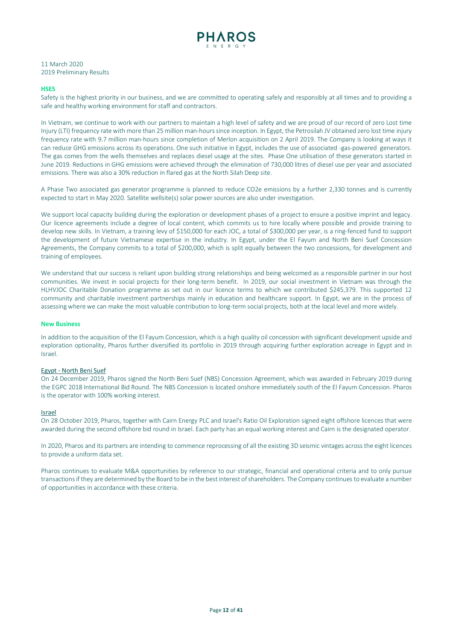

#### **HSES**

Safety is the highest priority in our business, and we are committed to operating safely and responsibly at all times and to providing a safe and healthy working environment for staff and contractors.

In Vietnam, we continue to work with our partners to maintain a high level of safety and we are proud of our record of zero Lost time Injury (LTI) frequency rate with more than 25 million man-hours since inception. In Egypt, the Petrosilah JV obtained zero lost time injury frequency rate with 9.7 million man-hours since completion of Merlon acquisition on 2 April 2019. The Company is looking at ways it can reduce GHG emissions across its operations. One such initiative in Egypt, includes the use of associated -gas-powered generators. The gas comes from the wells themselves and replaces diesel usage at the sites. Phase One utilisation of these generators started in June 2019. Reductions in GHG emissions were achieved through the elimination of 730,000 litres of diesel use per year and associated emissions. There was also a 30% reduction in flared gas at the North Silah Deep site.

A Phase Two associated gas generator programme is planned to reduce CO2e emissions by a further 2,330 tonnes and is currently expected to start in May 2020. Satellite wellsite(s) solar power sources are also under investigation.

We support local capacity building during the exploration or development phases of a project to ensure a positive imprint and legacy. Our licence agreements include a degree of local content, which commits us to hire locally where possible and provide training to develop new skills. In Vietnam, a training levy of \$150,000 for each JOC, a total of \$300,000 per year, is a ring-fenced fund to support the development of future Vietnamese expertise in the industry. In Egypt, under the El Fayum and North Beni Suef Concession Agreements, the Company commits to a total of \$200,000, which is split equally between the two concessions, for development and training of employees.

We understand that our success is reliant upon building strong relationships and being welcomed as a responsible partner in our host communities. We invest in social projects for their long-term benefit. In 2019, our social investment in Vietnam was through the HLHVJOC Charitable Donation programme as set out in our licence terms to which we contributed \$245,379. This supported 12 community and charitable investment partnerships mainly in education and healthcare support. In Egypt, we are in the process of assessing where we can make the most valuable contribution to long-term social projects, both at the local level and more widely.

### **New Business**

In addition to the acquisition of the El Fayum Concession, which is a high quality oil concession with significant development upside and exploration optionality, Pharos further diversified its portfolio in 2019 through acquiring further exploration acreage in Egypt and in Israel.

## Egypt - North Beni Suef

On 24 December 2019, Pharos signed the North Beni Suef (NBS) Concession Agreement, which was awarded in February 2019 during the EGPC 2018 International Bid Round. The NBS Concession is located onshore immediately south of the El Fayum Concession. Pharos is the operator with 100% working interest.

#### Israel

On 28 October 2019, Pharos, together with Cairn Energy PLC and Israel's Ratio Oil Exploration signed eight offshore licences that were awarded during the second offshore bid round in Israel. Each party has an equal working interest and Cairn is the designated operator.

In 2020, Pharos and its partners are intending to commence reprocessing of all the existing 3D seismic vintages across the eight licences to provide a uniform data set.

Pharos continues to evaluate M&A opportunities by reference to our strategic, financial and operational criteria and to only pursue transactions if they are determined by the Board to be in the best interest of shareholders. The Company continues to evaluate a number of opportunities in accordance with these criteria.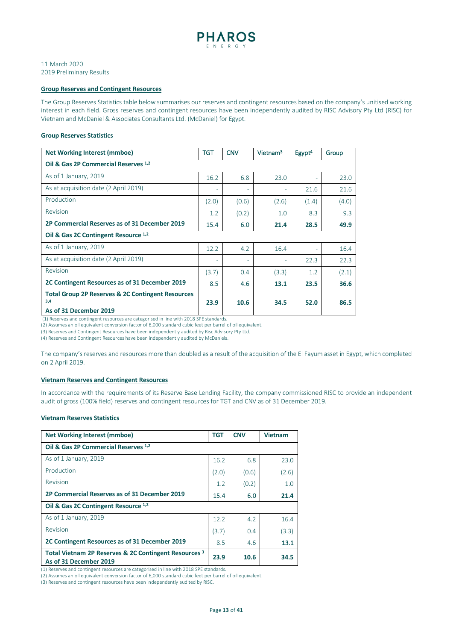

## **Group Reserves and Contingent Resources**

The Group Reserves Statistics table below summarises our reserves and contingent resources based on the company's unitised working interest in each field. Gross reserves and contingent resources have been independently audited by RISC Advisory Pty Ltd (RISC) for Vietnam and McDaniel & Associates Consultants Ltd. (McDaniel) for Egypt.

#### **Group Reserves Statistics**

| <b>Net Working Interest (mmboe)</b>                                 | <b>TGT</b> | <b>CNV</b> | Vietnam $3$ | Egypt <sup>4</sup> | Group |
|---------------------------------------------------------------------|------------|------------|-------------|--------------------|-------|
| Oil & Gas 2P Commercial Reserves 1,2                                |            |            |             |                    |       |
| As of 1 January, 2019                                               | 16.2       | 6.8        | 23.0        | ٠                  | 23.0  |
| As at acquisition date (2 April 2019)                               |            | ۰          | ۰           | 21.6               | 21.6  |
| Production                                                          | (2.0)      | (0.6)      | (2.6)       | (1.4)              | (4.0) |
| Revision                                                            | 1.2        | (0.2)      | 1.0         | 8.3                | 9.3   |
| 2P Commercial Reserves as of 31 December 2019                       | 15.4       | 6.0        | 21.4        | 28.5               | 49.9  |
| Oil & Gas 2C Contingent Resource 1,2                                |            |            |             |                    |       |
| As of 1 January, 2019                                               | 12.2       | 4.2        | 16.4        |                    | 16.4  |
| As at acquisition date (2 April 2019)                               |            | ٠          | ٠           | 22.3               | 22.3  |
| Revision                                                            | (3.7)      | 0.4        | (3.3)       | 1.2                | (2.1) |
| 2C Contingent Resources as of 31 December 2019                      | 8.5        | 4.6        | 13.1        | 23.5               | 36.6  |
| <b>Total Group 2P Reserves &amp; 2C Contingent Resources</b><br>3,4 | 23.9       | 10.6       | 34.5        | 52.0               | 86.5  |
| As of 31 December 2019                                              |            |            |             |                    |       |

(1) Reserves and contingent resources are categorised in line with 2018 SPE standards.

(2) Assumes an oil equivalent conversion factor of 6,000 standard cubic feet per barrel of oil equivalent.

(3) Reserves and Contingent Resources have been independently audited by Risc Advisory Pty Ltd.

(4) Reserves and Contingent Resources have been independently audited by McDaniels.

The company's reserves and resources more than doubled as a result of the acquisition of the El Fayum asset in Egypt, which completed on 2 April 2019.

#### **Vietnam Reserves and Contingent Resources**

In accordance with the requirements of its Reserve Base Lending Facility, the company commissioned RISC to provide an independent audit of gross (100% field) reserves and contingent resources for TGT and CNV as of 31 December 2019.

### **Vietnam Reserves Statistics**

| Net Working Interest (mmboe)                                                               | <b>TGT</b> | <b>CNV</b> | <b>Vietnam</b> |
|--------------------------------------------------------------------------------------------|------------|------------|----------------|
| Oil & Gas 2P Commercial Reserves 1,2                                                       |            |            |                |
| As of 1 January, 2019                                                                      | 16.2       | 6.8        | 23.0           |
| Production                                                                                 | (2.0)      | (0.6)      | (2.6)          |
| Revision                                                                                   | 1.2        | (0.2)      | 1.0            |
| 2P Commercial Reserves as of 31 December 2019                                              | 15.4       | 6.0        | 21.4           |
| Oil & Gas 2C Contingent Resource 1,2                                                       |            |            |                |
| As of 1 January, 2019                                                                      | 12.2       | 4.2        | 16.4           |
| Revision                                                                                   | (3.7)      | 0.4        | (3.3)          |
| 2C Contingent Resources as of 31 December 2019                                             | 8.5        | 4.6        | 13.1           |
| Total Vietnam 2P Reserves & 2C Contingent Resources <sup>3</sup><br>As of 31 December 2019 | 23.9       | 10.6       | 34.5           |

(1) Reserves and contingent resources are categorised in line with 2018 SPE standards.

(2) Assumes an oil equivalent conversion factor of 6,000 standard cubic feet per barrel of oil equivalent.

(3) Reserves and contingent resources have been independently audited by RISC.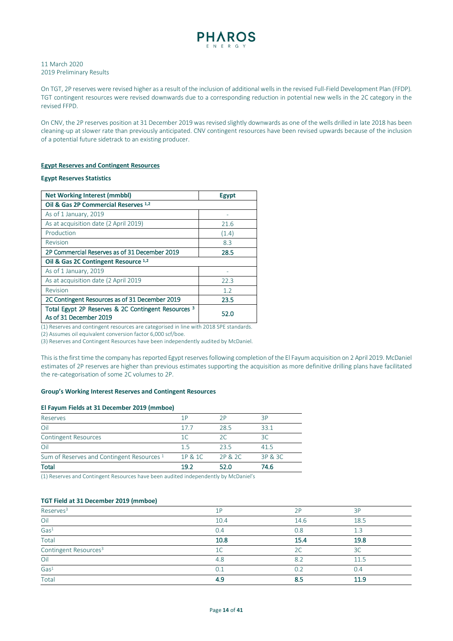

On TGT, 2P reserves were revised higher as a result of the inclusion of additional wells in the revised Full-Field Development Plan (FFDP). TGT contingent resources were revised downwards due to a corresponding reduction in potential new wells in the 2C category in the revised FFPD.

On CNV, the 2P reserves position at 31 December 2019 was revised slightly downwards as one of the wells drilled in late 2018 has been cleaning-up at slower rate than previously anticipated. CNV contingent resources have been revised upwards because of the inclusion of a potential future sidetrack to an existing producer.

## **Egypt Reserves and Contingent Resources**

## **Egypt Reserves Statistics**

| <b>Net Working Interest (mmbbl)</b>                                           | Egypt |
|-------------------------------------------------------------------------------|-------|
| Oil & Gas 2P Commercial Reserves 1,2                                          |       |
| As of 1 January, 2019                                                         |       |
| As at acquisition date (2 April 2019)                                         | 21.6  |
| Production                                                                    | (1.4) |
| Revision                                                                      | 8.3   |
| 2P Commercial Reserves as of 31 December 2019                                 | 28.5  |
| Oil & Gas 2C Contingent Resource 1,2                                          |       |
| As of 1 January, 2019                                                         | ۰     |
| As at acquisition date (2 April 2019                                          | 22.3  |
| Revision                                                                      | 1.2   |
| 2C Contingent Resources as of 31 December 2019                                | 23.5  |
| Total Egypt 2P Reserves & 2C Contingent Resources 3<br>As of 31 December 2019 | 52.0  |

(1) Reserves and contingent resources are categorised in line with 2018 SPE standards.

(2) Assumes oil equivalent conversion factor 6,000 scf/boe.

(3) Reserves and Contingent Resources have been independently audited by McDaniel.

This is the first time the company has reported Egypt reserves following completion of the El Fayum acquisition on 2 April 2019. McDaniel estimates of 2P reserves are higher than previous estimates supporting the acquisition as more definitive drilling plans have facilitated the re-categorisation of some 2C volumes to 2P.

### **Group's Working Interest Reserves and Contingent Resources**

#### **El Fayum Fields at 31 December 2019 (mmboe)**

| Reserves                                              | 1 P         | 2P      | 3P      |
|-------------------------------------------------------|-------------|---------|---------|
| Oil                                                   | 17.7        | 28.5    | 33.1    |
| <b>Contingent Resources</b>                           | 1 $\subset$ | 2C      | ЗC      |
| Oil                                                   | 15          | 23.5    | 41.5    |
| Sum of Reserves and Contingent Resources <sup>1</sup> | 1P & 1C     | 2P & 2C | 3P & 3C |
| <b>Total</b>                                          | 19.2        | 52.0    | 74.6    |

(1) Reserves and Contingent Resources have been audited independently by McDaniel's

#### **TGT Field at 31 December 2019 (mmboe)**

| Reserves <sup>3</sup>             | 1P   | 2P   | 3P   |  |
|-----------------------------------|------|------|------|--|
| Oil                               | 10.4 | 14.6 | 18.5 |  |
| Gas <sup>1</sup>                  | 0.4  | 0.8  | 1.3  |  |
| Total                             | 10.8 | 15.4 | 19.8 |  |
| Contingent Resources <sup>3</sup> |      | 2С   | ЗC   |  |
| Oil                               | 4.8  | 8.2  | 11.5 |  |
| Gas <sup>1</sup>                  | 0.1  | 9.2  | 0.4  |  |
| Total                             | 4.9  |      | 11.9 |  |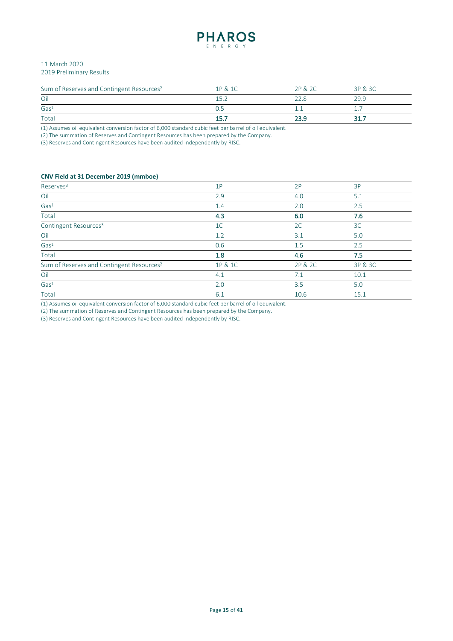

| Sum of Reserves and Contingent Resources <sup>2</sup> | 1P & 1C | 2P & 2C | 3P & 3C  |
|-------------------------------------------------------|---------|---------|----------|
| Oil                                                   | 15.2    |         | 29.9     |
| Gas <sup>1</sup>                                      | U.S     |         | <b>.</b> |
| Total                                                 | 15.7    | 23.9    | 31.      |

(1) Assumes oil equivalent conversion factor of 6,000 standard cubic feet per barrel of oil equivalent.

(2) The summation of Reserves and Contingent Resources has been prepared by the Company.

(3) Reserves and Contingent Resources have been audited independently by RISC.

## **CNV Field at 31 December 2019 (mmboe)**

| Reserves <sup>3</sup>                                 | 1P             | 2P      | 3P      |
|-------------------------------------------------------|----------------|---------|---------|
| Oil                                                   | 2.9            | 4.0     | 5.1     |
| Gas <sup>1</sup>                                      | 1.4            | 2.0     | 2.5     |
| Total                                                 | 4.3            | 6.0     | 7.6     |
| Contingent Resources <sup>3</sup>                     | 1 <sup>C</sup> | 2C      | 3C      |
| Oil                                                   | 1.2            | 3.1     | 5.0     |
| Gas <sup>1</sup>                                      | 0.6            | 1.5     | 2.5     |
| Total                                                 | 1.8            | 4.6     | 7.5     |
| Sum of Reserves and Contingent Resources <sup>2</sup> | 1P & 1C        | 2P & 2C | 3P & 3C |
| Oil                                                   | 4.1            | 7.1     | 10.1    |
| Gas <sup>1</sup>                                      | 2.0            | 3.5     | 5.0     |
| Total                                                 | 6.1            | 10.6    | 15.1    |

(1) Assumes oil equivalent conversion factor of 6,000 standard cubic feet per barrel of oil equivalent.

(2) The summation of Reserves and Contingent Resources has been prepared by the Company.

(3) Reserves and Contingent Resources have been audited independently by RISC.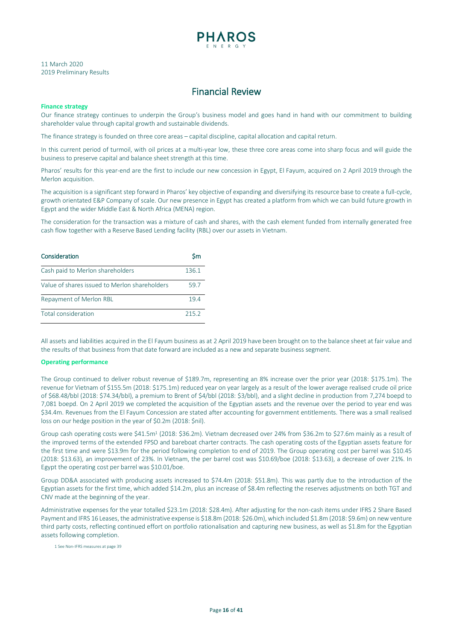

# Financial Review

#### **Finance strategy**

Our finance strategy continues to underpin the Group's business model and goes hand in hand with our commitment to building shareholder value through capital growth and sustainable dividends.

The finance strategy is founded on three core areas – capital discipline, capital allocation and capital return.

In this current period of turmoil, with oil prices at a multi-year low, these three core areas come into sharp focus and will guide the business to preserve capital and balance sheet strength at this time.

Pharos' results for this year-end are the first to include our new concession in Egypt, El Fayum, acquired on 2 April 2019 through the Merlon acquisition.

The acquisition is a significant step forward in Pharos' key objective of expanding and diversifying its resource base to create a full-cycle, growth orientated E&P Company of scale. Our new presence in Egypt has created a platform from which we can build future growth in Egypt and the wider Middle East & North Africa (MENA) region.

The consideration for the transaction was a mixture of cash and shares, with the cash element funded from internally generated free cash flow together with a Reserve Based Lending facility (RBL) over our assets in Vietnam.

| Consideration                                 | Sm    |
|-----------------------------------------------|-------|
| Cash paid to Merlon shareholders              | 136.1 |
| Value of shares issued to Merlon shareholders | 59.7  |
| Repayment of Merlon RBL                       | 194   |
| Total consideration                           | 2152  |

All assets and liabilities acquired in the El Fayum business as at 2 April 2019 have been brought on to the balance sheet at fair value and the results of that business from that date forward are included as a new and separate business segment.

### **Operating performance**

The Group continued to deliver robust revenue of \$189.7m, representing an 8% increase over the prior year (2018: \$175.1m). The revenue for Vietnam of \$155.5m (2018: \$175.1m) reduced year on year largely as a result of the lower average realised crude oil price of \$68.48/bbl (2018: \$74.34/bbl), a premium to Brent of \$4/bbl (2018: \$3/bbl), and a slight decline in production from 7,274 boepd to 7,081 boepd. On 2 April 2019 we completed the acquisition of the Egyptian assets and the revenue over the period to year end was \$34.4m. Revenues from the El Fayum Concession are stated after accounting for government entitlements. There was a small realised loss on our hedge position in the year of \$0.2m (2018: \$nil).

Group cash operating costs were \$41.5m1 (2018: \$36.2m). Vietnam decreased over 24% from \$36.2m to \$27.6m mainly as a result of the improved terms of the extended FPSO and bareboat charter contracts. The cash operating costs of the Egyptian assets feature for the first time and were \$13.9m for the period following completion to end of 2019. The Group operating cost per barrel was \$10.45 (2018: \$13.63), an improvement of 23%. In Vietnam, the per barrel cost was \$10.69/boe (2018: \$13.63), a decrease of over 21%. In Egypt the operating cost per barrel was \$10.01/boe.

Group DD&A associated with producing assets increased to \$74.4m (2018: \$51.8m). This was partly due to the introduction of the Egyptian assets for the first time, which added \$14.2m, plus an increase of \$8.4m reflecting the reserves adjustments on both TGT and CNV made at the beginning of the year.

Administrative expenses for the year totalled \$23.1m (2018: \$28.4m). After adjusting for the non-cash items under IFRS 2 Share Based Payment and IFRS 16 Leases, the administrative expense is \$18.8m (2018: \$26.0m), which included \$1.8m (2018: \$9.6m) on new venture third party costs, reflecting continued effort on portfolio rationalisation and capturing new business, as well as \$1.8m for the Egyptian assets following completion.

1 See Non-IFRS measures at page 39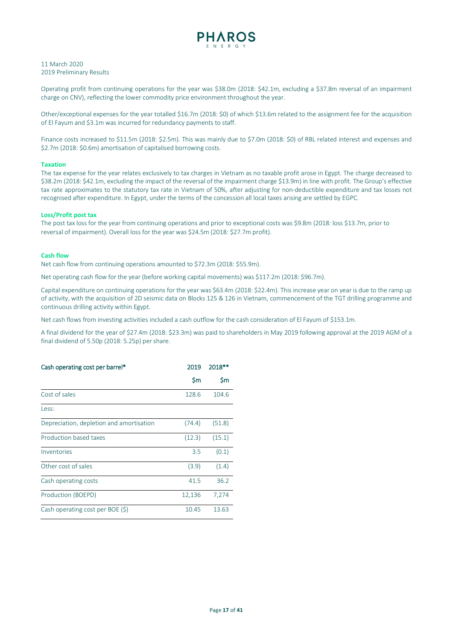

Operating profit from continuing operations for the year was \$38.0m (2018: \$42.1m, excluding a \$37.8m reversal of an impairment charge on CNV), reflecting the lower commodity price environment throughout the year.

Other/exceptional expenses for the year totalled \$16.7m (2018: \$0) of which \$13.6m related to the assignment fee for the acquisition of El Fayum and \$3.1m was incurred for redundancy payments to staff.

Finance costs increased to \$11.5m (2018: \$2.5m). This was mainly due to \$7.0m (2018: \$0) of RBL related interest and expenses and \$2.7m (2018: \$0.6m) amortisation of capitalised borrowing costs.

#### **Taxation**

The tax expense for the year relates exclusively to tax charges in Vietnam as no taxable profit arose in Egypt. The charge decreased to \$38.2m (2018: \$42.1m, excluding the impact of the reversal of the impairment charge \$13.9m) in line with profit. The Group's effective tax rate approximates to the statutory tax rate in Vietnam of 50%, after adjusting for non-deductible expenditure and tax losses not recognised after expenditure. In Egypt, under the terms of the concession all local taxes arising are settled by EGPC.

#### **Loss/Profit post tax**

The post tax loss for the year from continuing operations and prior to exceptional costs was \$9.8m (2018: loss \$13.7m, prior to reversal of impairment). Overall loss for the year was \$24.5m (2018: \$27.7m profit).

#### **Cash flow**

Net cash flow from continuing operations amounted to \$72.3m (2018: \$55.9m).

Net operating cash flow for the year (before working capital movements) was \$117.2m (2018: \$96.7m).

Capital expenditure on continuing operations for the year was \$63.4m (2018: \$22.4m). This increase year on year is due to the ramp up of activity, with the acquisition of 2D seismic data on Blocks 125 & 126 in Vietnam, commencement of the TGT drilling programme and continuous drilling activity within Egypt.

Net cash flows from investing activities included a cash outflow for the cash consideration of El Fayum of \$153.1m.

A final dividend for the year of \$27.4m (2018: \$23.3m) was paid to shareholders in May 2019 following approval at the 2019 AGM of a final dividend of 5.50p (2018: 5.25p) per share.

| Cash operating cost per barrel*          | 2019          | 2018 ** |
|------------------------------------------|---------------|---------|
|                                          | $\mathsf{Sm}$ | \$m     |
| Cost of sales                            | 128.6         | 104.6   |
| Less:                                    |               |         |
| Depreciation, depletion and amortisation | (74.4)        | (51.8)  |
| Production based taxes                   | (12.3)        | (15.1)  |
| Inventories                              | 3.5           | (0.1)   |
| Other cost of sales                      | (3.9)         | (1.4)   |
| Cash operating costs                     | 41.5          | 36.2    |
| Production (BOEPD)                       | 12,136        | 7,274   |
| Cash operating cost per BOE $(5)$        | 10.45         | 13.63   |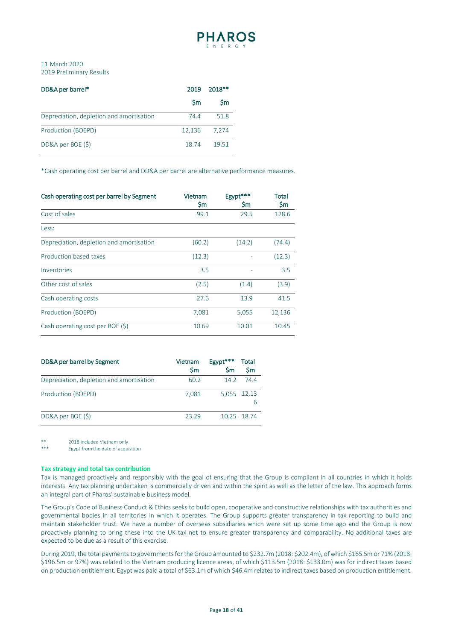

| DD&A per barrel*                         | 2019      | 2018** |
|------------------------------------------|-----------|--------|
|                                          | <b>Sm</b> | Sm     |
| Depreciation, depletion and amortisation | 74.4      | 51.8   |
| Production (BOEPD)                       | 12.136    | 7.274  |
| DD&A per BOE (\$)                        | 18.74     | 19.51  |

\*Cash operating cost per barrel and DD&A per barrel are alternative performance measures.

| Cash operating cost per barrel by Segment | Vietnam<br>$\mathsf{Sm}$ | Egypt***<br>Sm | Total<br>\$m |
|-------------------------------------------|--------------------------|----------------|--------------|
| Cost of sales                             | 99.1                     | 29.5           | 128.6        |
| Less:                                     |                          |                |              |
| Depreciation, depletion and amortisation  | (60.2)                   | (14.2)         | (74.4)       |
| Production based taxes                    | (12.3)                   |                | (12.3)       |
| Inventories                               | 3.5                      |                | 3.5          |
| Other cost of sales                       | (2.5)                    | (1.4)          | (3.9)        |
| Cash operating costs                      | 27.6                     | 13.9           | 41.5         |
| Production (BOEPD)                        | 7,081                    | 5,055          | 12,136       |
| Cash operating cost per BOE (\$)          | 10.69                    | 10.01          | 10.45        |

| DD&A per barrel by Segment               | Vietnam<br><b>Sm</b> | $E$ gypt***<br>\$m | Total<br>$\mathsf{S}$ m |
|------------------------------------------|----------------------|--------------------|-------------------------|
| Depreciation, depletion and amortisation | 60.2                 | 14.2               | 74.4                    |
| Production (BOEPD)                       | 7.081                | 5,055 12,13        | 6                       |
| DD&A per BOE $(\$)$                      | 23.29                | 10.25 18.74        |                         |

\*\* 2018 included Vietnam only<br>\*\*\* Equat from the date of acqui

Egypt from the date of acquisition

#### **Tax strategy and total tax contribution**

Tax is managed proactively and responsibly with the goal of ensuring that the Group is compliant in all countries in which it holds interests. Any tax planning undertaken is commercially driven and within the spirit as well as the letter of the law. This approach forms an integral part of Pharos' sustainable business model.

The Group's Code of Business Conduct & Ethics seeks to build open, cooperative and constructive relationships with tax authorities and governmental bodies in all territories in which it operates. The Group supports greater transparency in tax reporting to build and maintain stakeholder trust. We have a number of overseas subsidiaries which were set up some time ago and the Group is now proactively planning to bring these into the UK tax net to ensure greater transparency and comparability. No additional taxes are expected to be due as a result of this exercise.

During 2019, the total payments to governments for the Group amounted to \$232.7m (2018: \$202.4m), of which \$165.5m or 71% (2018: \$196.5m or 97%) was related to the Vietnam producing licence areas, of which \$113.5m (2018: \$133.0m) was for indirect taxes based on production entitlement. Egypt was paid a total of \$63.1m of which \$46.4m relates to indirect taxes based on production entitlement.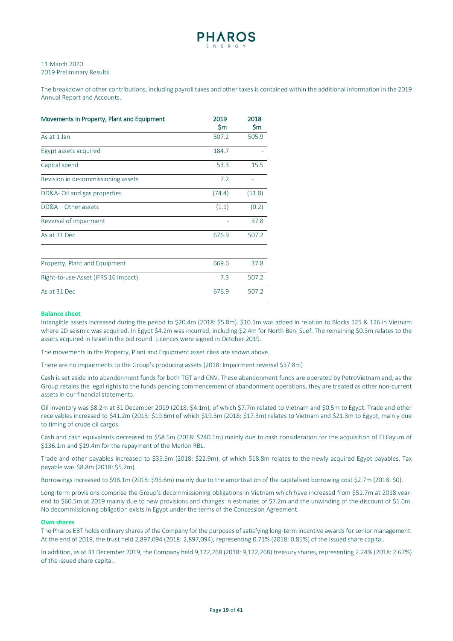

The breakdown of other contributions, including payroll taxes and other taxes is contained within the additional information in the 2019 Annual Report and Accounts.

| Movements in Property, Plant and Equipment | 2019<br>$\mathsf{Sm}$ | 2018<br>$\mathsf{Sm}$ |
|--------------------------------------------|-----------------------|-----------------------|
| As at 1 Jan                                | 507.2                 | 505.9                 |
| Egypt assets acquired                      | 184.7                 |                       |
| Capital spend                              | 53.3                  | 15.5                  |
| Revision in decommissioning assets         | 7.2                   |                       |
| DD&A- Oil and gas properties               | (74.4)                | (51.8)                |
| DD&A - Other assets                        | (1.1)                 | (0.2)                 |
| Reversal of impairment                     |                       | 37.8                  |
| As at 31 Dec                               | 676.9                 | 507.2                 |
|                                            |                       |                       |
| Property, Plant and Equipment              | 669.6                 | 37.8                  |
| Right-to-use-Asset (IFRS 16 Impact)        | 7.3                   | 507.2                 |
| As at 31 Dec                               | 676.9                 | 507.2                 |

#### **Balance sheet**

Intangible assets increased during the period to \$20.4m (2018: \$5.8m). \$10.1m was added in relation to Blocks 125 & 126 in Vietnam where 2D seismic was acquired. In Egypt \$4.2m was incurred, including \$2.4m for North Beni Suef. The remaining \$0.3m relates to the assets acquired in Israel in the bid round. Licences were signed in October 2019.

The movements in the Property, Plant and Equipment asset class are shown above.

There are no impairments to the Group's producing assets (2018: Impairment reversal \$37.8m)

Cash is set aside into abandonment funds for both TGT and CNV. These abandonment funds are operated by PetroVietnam and, as the Group retains the legal rights to the funds pending commencement of abandonment operations, they are treated as other non-current assets in our financial statements.

Oil inventory was \$8.2m at 31 December 2019 (2018: \$4.1m), of which \$7.7m related to Vietnam and \$0.5m to Egypt. Trade and other receivables increased to \$41.2m (2018: \$19.6m) of which \$19.3m (2018: \$17.3m) relates to Vietnam and \$21.3m to Egypt, mainly due to timing of crude oil cargos.

Cash and cash equivalents decreased to \$58.5m (2018: \$240.1m) mainly due to cash consideration for the acquisition of El Fayum of \$136.1m and \$19.4m for the repayment of the Merlon RBL.

Trade and other payables increased to \$35.5m (2018: \$22.9m), of which \$18.8m relates to the newly acquired Egypt payables. Tax payable was \$8.8m (2018: \$5.2m).

Borrowings increased to \$98.1m (2018: \$95.6m) mainly due to the amortisation of the capitalised borrowing cost \$2.7m (2018: \$0).

Long-term provisions comprise the Group's decommissioning obligations in Vietnam which have increased from \$51.7m at 2018 yearend to \$60.5m at 2019 mainly due to new provisions and changes in estimates of \$7.2m and the unwinding of the discount of \$1.6m. No decommissioning obligation exists in Egypt under the terms of the Concession Agreement.

#### **Own shares**

The Pharos EBT holds ordinary shares of the Company for the purposes of satisfying long-term incentive awards for senior management. At the end of 2019, the trust held 2,897,094 (2018: 2,897,094), representing 0.71% (2018: 0.85%) of the issued share capital.

In addition, as at 31 December 2019, the Company held 9,122,268 (2018: 9,122,268) treasury shares, representing 2.24% (2018: 2.67%) of the issued share capital.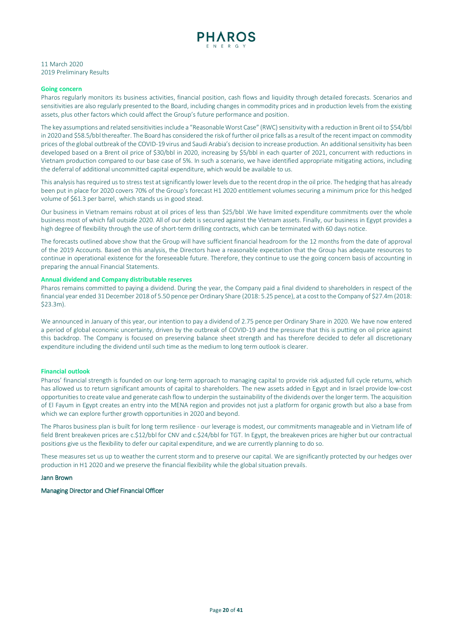

#### **Going concern**

Pharos regularly monitors its business activities, financial position, cash flows and liquidity through detailed forecasts. Scenarios and sensitivities are also regularly presented to the Board, including changes in commodity prices and in production levels from the existing assets, plus other factors which could affect the Group's future performance and position.

The key assumptions and related sensitivities include a "Reasonable Worst Case" (RWC) sensitivity with a reduction in Brent oil to \$54/bbl in 2020 and \$58.5/bbl thereafter. The Board has considered the risk of further oil price falls as a result of the recent impact on commodity prices of the global outbreak of the COVID-19 virus and Saudi Arabia's decision to increase production. An additional sensitivity has been developed based on a Brent oil price of \$30/bbl in 2020, increasing by \$5/bbl in each quarter of 2021, concurrent with reductions in Vietnam production compared to our base case of 5%. In such a scenario, we have identified appropriate mitigating actions, including the deferral of additional uncommitted capital expenditure, which would be available to us.

This analysis has required us to stress test at significantly lower levels due to the recent drop in the oil price. The hedging that has already been put in place for 2020 covers 70% of the Group's forecast H1 2020 entitlement volumes securing a minimum price for this hedged volume of \$61.3 per barrel, which stands us in good stead.

Our business in Vietnam remains robust at oil prices of less than \$25/bbl .We have limited expenditure commitments over the whole business most of which fall outside 2020. All of our debt is secured against the Vietnam assets. Finally, our business in Egypt provides a high degree of flexibility through the use of short-term drilling contracts, which can be terminated with 60 days notice.

The forecasts outlined above show that the Group will have sufficient financial headroom for the 12 months from the date of approval of the 2019 Accounts. Based on this analysis, the Directors have a reasonable expectation that the Group has adequate resources to continue in operational existence for the foreseeable future. Therefore, they continue to use the going concern basis of accounting in preparing the annual Financial Statements.

#### **Annual dividend and Company distributable reserves**

Pharos remains committed to paying a dividend. During the year, the Company paid a final dividend to shareholders in respect of the financial year ended 31 December 2018 of 5.50 pence per Ordinary Share (2018: 5.25 pence), at a cost to the Company of \$27.4m (2018: \$23.3m).

We announced in January of this year, our intention to pay a dividend of 2.75 pence per Ordinary Share in 2020. We have now entered a period of global economic uncertainty, driven by the outbreak of COVID-19 and the pressure that this is putting on oil price against this backdrop. The Company is focused on preserving balance sheet strength and has therefore decided to defer all discretionary expenditure including the dividend until such time as the medium to long term outlook is clearer.

#### **Financial outlook**

Pharos' financial strength is founded on our long-term approach to managing capital to provide risk adjusted full cycle returns, which has allowed us to return significant amounts of capital to shareholders. The new assets added in Egypt and in Israel provide low-cost opportunities to create value and generate cash flow to underpin the sustainability of the dividends over the longer term. The acquisition of El Fayum in Egypt creates an entry into the MENA region and provides not just a platform for organic growth but also a base from which we can explore further growth opportunities in 2020 and beyond.

The Pharos business plan is built for long term resilience - our leverage is modest, our commitments manageable and in Vietnam life of field Brent breakeven prices are c.\$12/bbl for CNV and c.\$24/bbl for TGT. In Egypt, the breakeven prices are higher but our contractual positions give us the flexibility to defer our capital expenditure, and we are currently planning to do so.

These measures set us up to weather the current storm and to preserve our capital. We are significantly protected by our hedges over production in H1 2020 and we preserve the financial flexibility while the global situation prevails.

#### Jann Brown

#### Managing Director and Chief Financial Officer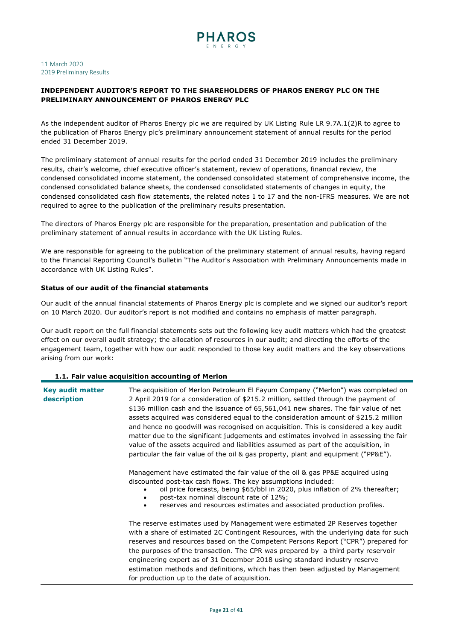

## **INDEPENDENT AUDITOR'S REPORT TO THE SHAREHOLDERS OF PHAROS ENERGY PLC ON THE PRELIMINARY ANNOUNCEMENT OF PHAROS ENERGY PLC**

As the independent auditor of Pharos Energy plc we are required by UK Listing Rule LR 9.7A.1(2)R to agree to the publication of Pharos Energy plc's preliminary announcement statement of annual results for the period ended 31 December 2019.

The preliminary statement of annual results for the period ended 31 December 2019 includes the preliminary results, chair's welcome, chief executive officer's statement, review of operations, financial review, the condensed consolidated income statement, the condensed consolidated statement of comprehensive income, the condensed consolidated balance sheets, the condensed consolidated statements of changes in equity, the condensed consolidated cash flow statements, the related notes 1 to 17 and the non-IFRS measures. We are not required to agree to the publication of the preliminary results presentation.

The directors of Pharos Energy plc are responsible for the preparation, presentation and publication of the preliminary statement of annual results in accordance with the UK Listing Rules.

We are responsible for agreeing to the publication of the preliminary statement of annual results, having regard to the Financial Reporting Council's Bulletin "The Auditor's Association with Preliminary Announcements made in accordance with UK Listing Rules".

## **Status of our audit of the financial statements**

Our audit of the annual financial statements of Pharos Energy plc is complete and we signed our auditor's report on 10 March 2020. Our auditor's report is not modified and contains no emphasis of matter paragraph.

Our audit report on the full financial statements sets out the following key audit matters which had the greatest effect on our overall audit strategy; the allocation of resources in our audit; and directing the efforts of the engagement team, together with how our audit responded to those key audit matters and the key observations arising from our work:

## **1.1. Fair value acquisition accounting of Merlon**

| <b>Key audit matter</b><br>description | The acquisition of Merlon Petroleum El Fayum Company ("Merlon") was completed on<br>2 April 2019 for a consideration of \$215.2 million, settled through the payment of<br>\$136 million cash and the issuance of 65,561,041 new shares. The fair value of net<br>assets acquired was considered equal to the consideration amount of \$215.2 million<br>and hence no goodwill was recognised on acquisition. This is considered a key audit<br>matter due to the significant judgements and estimates involved in assessing the fair<br>value of the assets acquired and liabilities assumed as part of the acquisition, in<br>particular the fair value of the oil & gas property, plant and equipment ("PP&E"). |
|----------------------------------------|--------------------------------------------------------------------------------------------------------------------------------------------------------------------------------------------------------------------------------------------------------------------------------------------------------------------------------------------------------------------------------------------------------------------------------------------------------------------------------------------------------------------------------------------------------------------------------------------------------------------------------------------------------------------------------------------------------------------|
|                                        | Management have estimated the fair value of the oil & gas PP&E acquired using<br>discounted post-tax cash flows. The key assumptions included:<br>oil price forecasts, being \$65/bbl in 2020, plus inflation of 2% thereafter;<br>post-tax nominal discount rate of 12%;<br>reserves and resources estimates and associated production profiles.                                                                                                                                                                                                                                                                                                                                                                  |
|                                        | The reserve estimates used by Management were estimated 2P Reserves together<br>with a share of estimated 2C Contingent Resources, with the underlying data for such<br>reserves and resources based on the Competent Persons Report ("CPR") prepared for<br>the purposes of the transaction. The CPR was prepared by a third party reservoir<br>engineering expert as of 31 December 2018 using standard industry reserve<br>estimation methods and definitions, which has then been adjusted by Management<br>for production up to the date of acquisition.                                                                                                                                                      |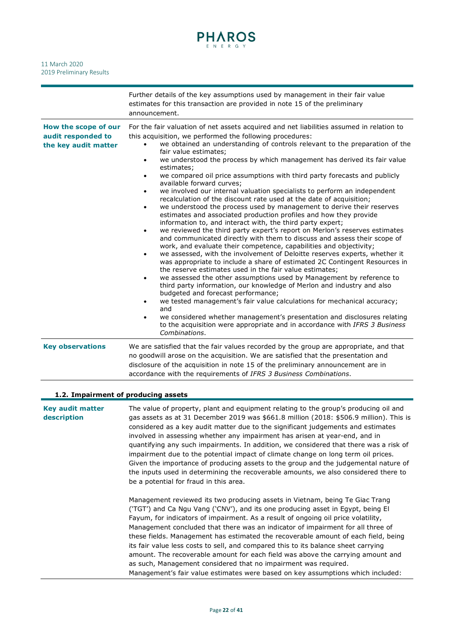

|                                                                    | Further details of the key assumptions used by management in their fair value<br>estimates for this transaction are provided in note 15 of the preliminary<br>announcement.                                                                                                                                                                                                                                                                                                                                                                                                                                                                                                                                                                                                                                                                                                                                                                                                                                                                                                                                                                                                                                                                                                                                                                                                                                                                                                                                                                                                                                                                                                                                                                                                                     |
|--------------------------------------------------------------------|-------------------------------------------------------------------------------------------------------------------------------------------------------------------------------------------------------------------------------------------------------------------------------------------------------------------------------------------------------------------------------------------------------------------------------------------------------------------------------------------------------------------------------------------------------------------------------------------------------------------------------------------------------------------------------------------------------------------------------------------------------------------------------------------------------------------------------------------------------------------------------------------------------------------------------------------------------------------------------------------------------------------------------------------------------------------------------------------------------------------------------------------------------------------------------------------------------------------------------------------------------------------------------------------------------------------------------------------------------------------------------------------------------------------------------------------------------------------------------------------------------------------------------------------------------------------------------------------------------------------------------------------------------------------------------------------------------------------------------------------------------------------------------------------------|
| How the scope of our<br>audit responded to<br>the key audit matter | For the fair valuation of net assets acquired and net liabilities assumed in relation to<br>this acquisition, we performed the following procedures:<br>we obtained an understanding of controls relevant to the preparation of the<br>fair value estimates;<br>we understood the process by which management has derived its fair value<br>$\bullet$<br>estimates;<br>we compared oil price assumptions with third party forecasts and publicly<br>$\bullet$<br>available forward curves;<br>we involved our internal valuation specialists to perform an independent<br>$\bullet$<br>recalculation of the discount rate used at the date of acquisition;<br>we understood the process used by management to derive their reserves<br>estimates and associated production profiles and how they provide<br>information to, and interact with, the third party expert;<br>we reviewed the third party expert's report on Merlon's reserves estimates<br>$\bullet$<br>and communicated directly with them to discuss and assess their scope of<br>work, and evaluate their competence, capabilities and objectivity;<br>we assessed, with the involvement of Deloitte reserves experts, whether it<br>was appropriate to include a share of estimated 2C Contingent Resources in<br>the reserve estimates used in the fair value estimates;<br>we assessed the other assumptions used by Management by reference to<br>third party information, our knowledge of Merlon and industry and also<br>budgeted and forecast performance;<br>we tested management's fair value calculations for mechanical accuracy;<br>and<br>we considered whether management's presentation and disclosures relating<br>to the acquisition were appropriate and in accordance with IFRS 3 Business<br>Combinations. |
| <b>Key observations</b>                                            | We are satisfied that the fair values recorded by the group are appropriate, and that<br>no goodwill arose on the acquisition. We are satisfied that the presentation and<br>disclosure of the acquisition in note 15 of the preliminary announcement are in<br>accordance with the requirements of IFRS 3 Business Combinations.                                                                                                                                                                                                                                                                                                                                                                                                                                                                                                                                                                                                                                                                                                                                                                                                                                                                                                                                                                                                                                                                                                                                                                                                                                                                                                                                                                                                                                                               |
| 1.2. Impairment of producing assets                                |                                                                                                                                                                                                                                                                                                                                                                                                                                                                                                                                                                                                                                                                                                                                                                                                                                                                                                                                                                                                                                                                                                                                                                                                                                                                                                                                                                                                                                                                                                                                                                                                                                                                                                                                                                                                 |
| <b>Key audit matter</b><br>description                             | The value of property, plant and equipment relating to the group's producing oil and<br>gas assets as at 31 December 2019 was \$661.8 million (2018: \$506.9 million). This is<br>considered as a key audit matter due to the significant judgements and estimates<br>involved in assessing whether any impairment has arisen at year-end, and in<br>quantifying any such impairments. In addition, we considered that there was a risk of<br>impairment due to the potential impact of climate change on long term oil prices.<br>$C1$ the importance of producing posite to the quoup and the judgemental nature of                                                                                                                                                                                                                                                                                                                                                                                                                                                                                                                                                                                                                                                                                                                                                                                                                                                                                                                                                                                                                                                                                                                                                                           |

Given the importance of producing assets to the group and the judgemental nature of the inputs used in determining the recoverable amounts, we also considered there to be a potential for fraud in this area.

Management reviewed its two producing assets in Vietnam, being Te Giac Trang ('TGT') and Ca Ngu Vang ('CNV'), and its one producing asset in Egypt, being El Fayum, for indicators of impairment. As a result of ongoing oil price volatility, Management concluded that there was an indicator of impairment for all three of these fields. Management has estimated the recoverable amount of each field, being its fair value less costs to sell, and compared this to its balance sheet carrying amount. The recoverable amount for each field was above the carrying amount and as such, Management considered that no impairment was required. Management's fair value estimates were based on key assumptions which included: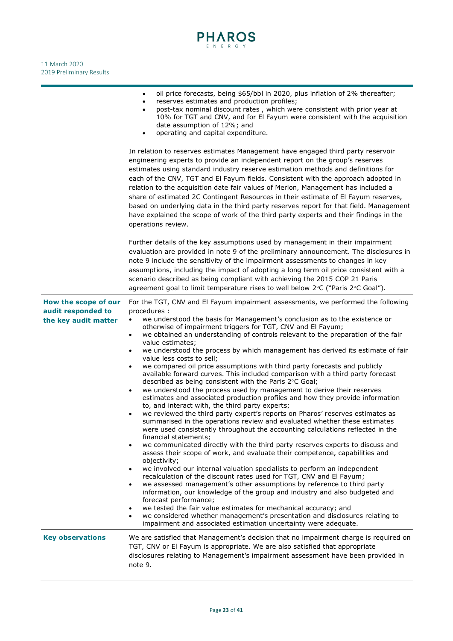

|                                                                    | oil price forecasts, being \$65/bbl in 2020, plus inflation of 2% thereafter;<br>$\bullet$<br>reserves estimates and production profiles;<br>post-tax nominal discount rates, which were consistent with prior year at<br>٠<br>10% for TGT and CNV, and for El Fayum were consistent with the acquisition<br>date assumption of 12%; and<br>operating and capital expenditure.<br>$\bullet$                                                                                                                                                                                                                                                                                                                                                                                                                                                                                                                                                                                                                                                                                                                                                                                                                                                                                                                                                                                                                                                                                                                                                                                                                                                                                                                                                                                                                                                                                                                                                                                        |
|--------------------------------------------------------------------|------------------------------------------------------------------------------------------------------------------------------------------------------------------------------------------------------------------------------------------------------------------------------------------------------------------------------------------------------------------------------------------------------------------------------------------------------------------------------------------------------------------------------------------------------------------------------------------------------------------------------------------------------------------------------------------------------------------------------------------------------------------------------------------------------------------------------------------------------------------------------------------------------------------------------------------------------------------------------------------------------------------------------------------------------------------------------------------------------------------------------------------------------------------------------------------------------------------------------------------------------------------------------------------------------------------------------------------------------------------------------------------------------------------------------------------------------------------------------------------------------------------------------------------------------------------------------------------------------------------------------------------------------------------------------------------------------------------------------------------------------------------------------------------------------------------------------------------------------------------------------------------------------------------------------------------------------------------------------------|
|                                                                    | In relation to reserves estimates Management have engaged third party reservoir<br>engineering experts to provide an independent report on the group's reserves<br>estimates using standard industry reserve estimation methods and definitions for<br>each of the CNV, TGT and El Fayum fields. Consistent with the approach adopted in<br>relation to the acquisition date fair values of Merlon, Management has included a<br>share of estimated 2C Contingent Resources in their estimate of El Fayum reserves,<br>based on underlying data in the third party reserves report for that field. Management<br>have explained the scope of work of the third party experts and their findings in the<br>operations review.                                                                                                                                                                                                                                                                                                                                                                                                                                                                                                                                                                                                                                                                                                                                                                                                                                                                                                                                                                                                                                                                                                                                                                                                                                                       |
|                                                                    | Further details of the key assumptions used by management in their impairment<br>evaluation are provided in note 9 of the preliminary announcement. The disclosures in<br>note 9 include the sensitivity of the impairment assessments to changes in key<br>assumptions, including the impact of adopting a long term oil price consistent with a<br>scenario described as being compliant with achieving the 2015 COP 21 Paris<br>agreement goal to limit temperature rises to well below 2°C ("Paris 2°C Goal").                                                                                                                                                                                                                                                                                                                                                                                                                                                                                                                                                                                                                                                                                                                                                                                                                                                                                                                                                                                                                                                                                                                                                                                                                                                                                                                                                                                                                                                                 |
| How the scope of our<br>audit responded to<br>the key audit matter | For the TGT, CNV and El Fayum impairment assessments, we performed the following<br>procedures :<br>we understood the basis for Management's conclusion as to the existence or<br>$\bullet$<br>otherwise of impairment triggers for TGT, CNV and El Fayum;<br>we obtained an understanding of controls relevant to the preparation of the fair<br>$\bullet$<br>value estimates;<br>we understood the process by which management has derived its estimate of fair<br>$\bullet$<br>value less costs to sell;<br>we compared oil price assumptions with third party forecasts and publicly<br>٠<br>available forward curves. This included comparison with a third party forecast<br>described as being consistent with the Paris 2°C Goal;<br>we understood the process used by management to derive their reserves<br>٠<br>estimates and associated production profiles and how they provide information<br>to, and interact with, the third party experts;<br>we reviewed the third party expert's reports on Pharos' reserves estimates as<br>summarised in the operations review and evaluated whether these estimates<br>were used consistently throughout the accounting calculations reflected in the<br>financial statements;<br>we communicated directly with the third party reserves experts to discuss and<br>assess their scope of work, and evaluate their competence, capabilities and<br>objectivity;<br>we involved our internal valuation specialists to perform an independent<br>recalculation of the discount rates used for TGT, CNV and El Fayum;<br>we assessed management's other assumptions by reference to third party<br>٠<br>information, our knowledge of the group and industry and also budgeted and<br>forecast performance;<br>we tested the fair value estimates for mechanical accuracy; and<br>we considered whether management's presentation and disclosures relating to<br>impairment and associated estimation uncertainty were adequate. |
| <b>Key observations</b>                                            | We are satisfied that Management's decision that no impairment charge is required on<br>TGT, CNV or El Fayum is appropriate. We are also satisfied that appropriate<br>disclosures relating to Management's impairment assessment have been provided in<br>note 9.                                                                                                                                                                                                                                                                                                                                                                                                                                                                                                                                                                                                                                                                                                                                                                                                                                                                                                                                                                                                                                                                                                                                                                                                                                                                                                                                                                                                                                                                                                                                                                                                                                                                                                                 |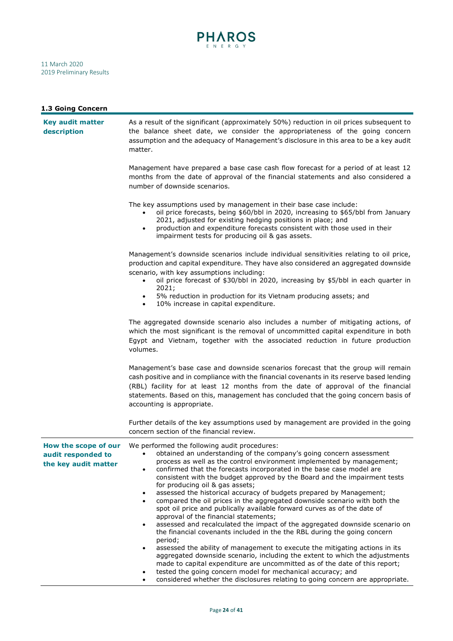

| 1.3 Going Concern                                                  |                                                                                                                                                                                                                                                                                                                                                                                                                                                                                                                                                                                                                                                                                                                                                                                                                                                                                                                                                                                                                                                                                                                                                                                                                                                           |
|--------------------------------------------------------------------|-----------------------------------------------------------------------------------------------------------------------------------------------------------------------------------------------------------------------------------------------------------------------------------------------------------------------------------------------------------------------------------------------------------------------------------------------------------------------------------------------------------------------------------------------------------------------------------------------------------------------------------------------------------------------------------------------------------------------------------------------------------------------------------------------------------------------------------------------------------------------------------------------------------------------------------------------------------------------------------------------------------------------------------------------------------------------------------------------------------------------------------------------------------------------------------------------------------------------------------------------------------|
| <b>Key audit matter</b><br>description                             | As a result of the significant (approximately 50%) reduction in oil prices subsequent to<br>the balance sheet date, we consider the appropriateness of the going concern<br>assumption and the adequacy of Management's disclosure in this area to be a key audit<br>matter.                                                                                                                                                                                                                                                                                                                                                                                                                                                                                                                                                                                                                                                                                                                                                                                                                                                                                                                                                                              |
|                                                                    | Management have prepared a base case cash flow forecast for a period of at least 12<br>months from the date of approval of the financial statements and also considered a<br>number of downside scenarios.                                                                                                                                                                                                                                                                                                                                                                                                                                                                                                                                                                                                                                                                                                                                                                                                                                                                                                                                                                                                                                                |
|                                                                    | The key assumptions used by management in their base case include:<br>oil price forecasts, being \$60/bbl in 2020, increasing to \$65/bbl from January<br>$\bullet$<br>2021, adjusted for existing hedging positions in place; and<br>production and expenditure forecasts consistent with those used in their<br>impairment tests for producing oil & gas assets.                                                                                                                                                                                                                                                                                                                                                                                                                                                                                                                                                                                                                                                                                                                                                                                                                                                                                        |
|                                                                    | Management's downside scenarios include individual sensitivities relating to oil price,<br>production and capital expenditure. They have also considered an aggregated downside<br>scenario, with key assumptions including:<br>oil price forecast of \$30/bbl in 2020, increasing by \$5/bbl in each quarter in<br>2021;<br>5% reduction in production for its Vietnam producing assets; and                                                                                                                                                                                                                                                                                                                                                                                                                                                                                                                                                                                                                                                                                                                                                                                                                                                             |
|                                                                    | 10% increase in capital expenditure.<br>The aggregated downside scenario also includes a number of mitigating actions, of<br>which the most significant is the removal of uncommitted capital expenditure in both<br>Egypt and Vietnam, together with the associated reduction in future production<br>volumes.                                                                                                                                                                                                                                                                                                                                                                                                                                                                                                                                                                                                                                                                                                                                                                                                                                                                                                                                           |
|                                                                    | Management's base case and downside scenarios forecast that the group will remain<br>cash positive and in compliance with the financial covenants in its reserve based lending<br>(RBL) facility for at least 12 months from the date of approval of the financial<br>statements. Based on this, management has concluded that the going concern basis of<br>accounting is appropriate.                                                                                                                                                                                                                                                                                                                                                                                                                                                                                                                                                                                                                                                                                                                                                                                                                                                                   |
|                                                                    | Further details of the key assumptions used by management are provided in the going<br>concern section of the financial review.                                                                                                                                                                                                                                                                                                                                                                                                                                                                                                                                                                                                                                                                                                                                                                                                                                                                                                                                                                                                                                                                                                                           |
| How the scope of our<br>audit responded to<br>the key audit matter | We performed the following audit procedures:<br>obtained an understanding of the company's going concern assessment<br>process as well as the control environment implemented by management;<br>confirmed that the forecasts incorporated in the base case model are<br>$\bullet$<br>consistent with the budget approved by the Board and the impairment tests<br>for producing oil & gas assets;<br>assessed the historical accuracy of budgets prepared by Management;<br>compared the oil prices in the aggregated downside scenario with both the<br>spot oil price and publically available forward curves as of the date of<br>approval of the financial statements;<br>assessed and recalculated the impact of the aggregated downside scenario on<br>the financial covenants included in the the RBL during the going concern<br>period;<br>assessed the ability of management to execute the mitigating actions in its<br>$\bullet$<br>aggregated downside scenario, including the extent to which the adjustments<br>made to capital expenditure are uncommitted as of the date of this report;<br>tested the going concern model for mechanical accuracy; and<br>considered whether the disclosures relating to going concern are appropriate. |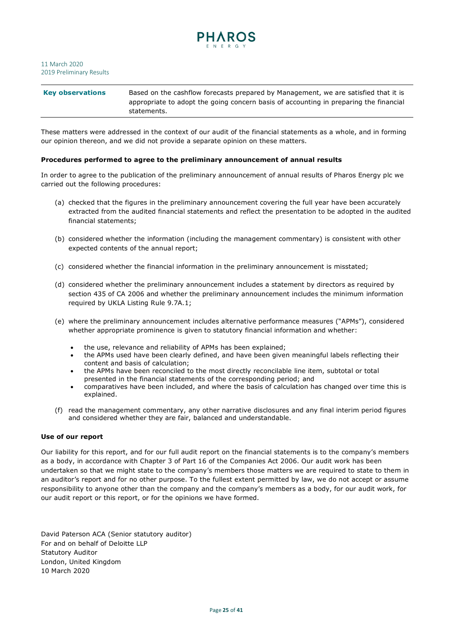

| <b>Key observations</b> | Based on the cashflow forecasts prepared by Management, we are satisfied that it is   |
|-------------------------|---------------------------------------------------------------------------------------|
|                         | appropriate to adopt the going concern basis of accounting in preparing the financial |
|                         | statements.                                                                           |

These matters were addressed in the context of our audit of the financial statements as a whole, and in forming our opinion thereon, and we did not provide a separate opinion on these matters.

### **Procedures performed to agree to the preliminary announcement of annual results**

In order to agree to the publication of the preliminary announcement of annual results of Pharos Energy plc we carried out the following procedures:

- (a) checked that the figures in the preliminary announcement covering the full year have been accurately extracted from the audited financial statements and reflect the presentation to be adopted in the audited financial statements;
- (b) considered whether the information (including the management commentary) is consistent with other expected contents of the annual report;
- (c) considered whether the financial information in the preliminary announcement is misstated;
- (d) considered whether the preliminary announcement includes a statement by directors as required by section 435 of CA 2006 and whether the preliminary announcement includes the minimum information required by UKLA Listing Rule 9.7A.1;
- (e) where the preliminary announcement includes alternative performance measures ("APMs"), considered whether appropriate prominence is given to statutory financial information and whether:
	- the use, relevance and reliability of APMs has been explained;
	- the APMs used have been clearly defined, and have been given meaningful labels reflecting their content and basis of calculation;
	- the APMs have been reconciled to the most directly reconcilable line item, subtotal or total presented in the financial statements of the corresponding period; and
	- comparatives have been included, and where the basis of calculation has changed over time this is explained.
- (f) read the management commentary, any other narrative disclosures and any final interim period figures and considered whether they are fair, balanced and understandable.

## **Use of our report**

Our liability for this report, and for our full audit report on the financial statements is to the company's members as a body, in accordance with Chapter 3 of Part 16 of the Companies Act 2006. Our audit work has been undertaken so that we might state to the company's members those matters we are required to state to them in an auditor's report and for no other purpose. To the fullest extent permitted by law, we do not accept or assume responsibility to anyone other than the company and the company's members as a body, for our audit work, for our audit report or this report, or for the opinions we have formed.

David Paterson ACA (Senior statutory auditor) For and on behalf of Deloitte LLP Statutory Auditor London, United Kingdom 10 March 2020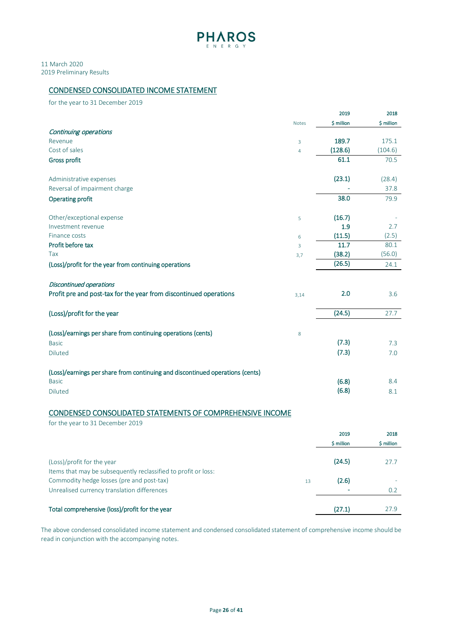

## CONDENSED CONSOLIDATED INCOME STATEMENT

for the year to 31 December 2019

|                                                                               |                | 2019       | 2018       |
|-------------------------------------------------------------------------------|----------------|------------|------------|
|                                                                               | <b>Notes</b>   | \$ million | \$ million |
| Continuing operations                                                         |                |            |            |
| Revenue                                                                       | 3              | 189.7      | 175.1      |
| Cost of sales                                                                 | $\overline{4}$ | (128.6)    | (104.6)    |
| <b>Gross profit</b>                                                           |                | 61.1       | 70.5       |
|                                                                               |                |            |            |
| Administrative expenses                                                       |                | (23.1)     | (28.4)     |
| Reversal of impairment charge                                                 |                |            | 37.8       |
| <b>Operating profit</b>                                                       |                | 38.0       | 79.9       |
| Other/exceptional expense                                                     | 5              | (16.7)     |            |
| Investment revenue                                                            |                | 1.9        | 2.7        |
| Finance costs                                                                 | 6              | (11.5)     | (2.5)      |
| Profit before tax                                                             | $\overline{3}$ | 11.7       | 80.1       |
| Tax                                                                           | 3,7            | (38.2)     | (56.0)     |
| (Loss)/profit for the year from continuing operations                         |                | (26.5)     | 24.1       |
|                                                                               |                |            |            |
| Discontinued operations                                                       |                |            |            |
| Profit pre and post-tax for the year from discontinued operations             | 3,14           | 2.0        | 3.6        |
| (Loss)/profit for the year                                                    |                | (24.5)     | 27.7       |
|                                                                               |                |            |            |
| (Loss)/earnings per share from continuing operations (cents)                  | 8              |            |            |
| <b>Basic</b>                                                                  |                | (7.3)      | 7.3        |
| <b>Diluted</b>                                                                |                | (7.3)      | 7.0        |
| (Loss)/earnings per share from continuing and discontinued operations (cents) |                |            |            |
| <b>Basic</b>                                                                  |                | (6.8)      | 8.4        |
| <b>Diluted</b>                                                                |                | (6.8)      | 8.1        |
|                                                                               |                |            |            |

## CONDENSED CONSOLIDATED STATEMENTS OF COMPREHENSIVE INCOME

for the year to 31 December 2019

|                                                                |    | 2019<br>\$ million | 2018<br>\$ million |
|----------------------------------------------------------------|----|--------------------|--------------------|
|                                                                |    |                    |                    |
| (Loss)/profit for the year                                     |    | (24.5)             | 27.7               |
| Items that may be subsequently reclassified to profit or loss: |    |                    |                    |
| Commodity hedge losses (pre and post-tax)                      | 13 | (2.6)              |                    |
| Unrealised currency translation differences                    |    |                    | 0.2                |
|                                                                |    |                    |                    |
| Total comprehensive (loss)/profit for the year                 |    | (27.1)             | 27.9               |

The above condensed consolidated income statement and condensed consolidated statement of comprehensive income should be read in conjunction with the accompanying notes.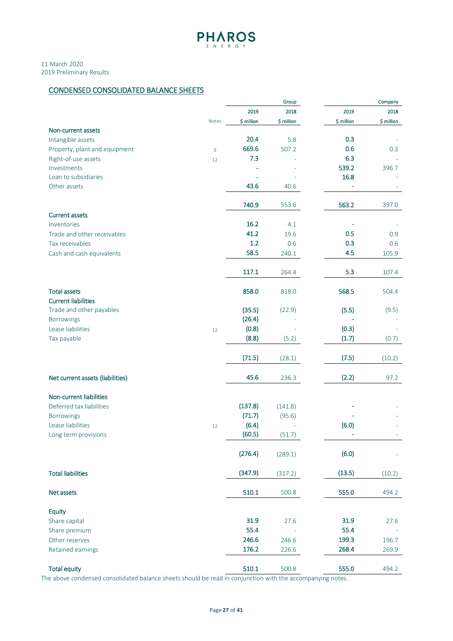

## CONDENSED CONSOLIDATED BALANCE SHEETS

|                                  |       |                 | Group      |            | Company    |
|----------------------------------|-------|-----------------|------------|------------|------------|
|                                  |       | 2019            | 2018       | 2019       | 2018       |
|                                  | Notes | \$ million      | \$ million | \$ million | \$ million |
| Non-current assets               |       |                 |            |            |            |
| Intangible assets                |       | 20.4            | 5.8        | 0.3        |            |
| Property, plant and equipment    | 9     | 669.6           | 507.2      | 0.6        | 0.3        |
| Right-of-use assets              | 12    | 7.3             |            | 6.3        |            |
| Investments                      |       |                 |            | 539.2      | 396.7      |
| Loan to subsidiaries             |       |                 |            | 16.8       |            |
| Other assets                     |       | 43.6            | 40.6       |            |            |
|                                  |       | 740.9           | 553.6      | 563.2      | 397.0      |
| <b>Current assets</b>            |       |                 |            |            |            |
| Inventories                      |       | 16.2            | 4.1        |            |            |
| Trade and other receivables      |       | 41.2            | 19.6       | 0.5        | 0.9        |
| Tax receivables                  |       | 1.2             | 0.6        | 0.3        | 0.6        |
| Cash and cash equivalents        |       | 58.5            | 240.1      | 4.5        | 105.9      |
|                                  |       | 117.1           | 264.4      | 5.3        | 107.4      |
| <b>Total assets</b>              |       | 858.0           | 818.0      | 568.5      | 504.4      |
| <b>Current liabilities</b>       |       |                 |            |            |            |
| Trade and other payables         |       | (35.5)          | (22.9)     | (5.5)      | (9.5)      |
| <b>Borrowings</b>                |       | (26.4)          |            |            |            |
| Lease liabilities                | 12    | (0.8)           |            | (0.3)      |            |
| Tax payable                      |       | (8.8)           | (5.2)      | (1.7)      | (0.7)      |
|                                  |       | (71.5)          | (28.1)     | (7.5)      | (10.2)     |
| Net current assets (liabilities) |       | 45.6            | 236.3      | (2.2)      | 97.2       |
| Non-current liabilities          |       |                 |            |            |            |
| Deferred tax liabilities         |       | (137.8)         | (141.8)    |            |            |
|                                  |       | (71.7)          |            |            |            |
| Borrowings<br>Lease liabilities  |       |                 | (95.6)     |            |            |
|                                  | 12    | (6.4)<br>(60.5) |            | (6.0)      |            |
| Long term provisions             |       |                 | (51.7)     |            |            |
|                                  |       | (276.4)         | (289.1)    | (6.0)      |            |
| <b>Total liabilities</b>         |       | (347.9)         | (317.2)    | (13.5)     | (10.2)     |
| Net assets                       |       | 510.1           | 500.8      | 555.0      | 494.2      |
| Equity                           |       |                 |            |            |            |
| Share capital                    |       | 31.9            | 27.6       | 31.9       | 27.6       |
| Share premium                    |       | 55.4            |            | 55.4       |            |
| Other reserves                   |       | 246.6           | 246.6      | 199.3      | 196.7      |
| Retained earnings                |       | 176.2           | 226.6      | 268.4      | 269.9      |
|                                  |       |                 |            |            |            |
| <b>Total equity</b>              |       | 510.1           | 500.8      | 555.0      | 494.2      |

The above condensed consolidated balance sheets should be read in conjunction with the accompanying notes.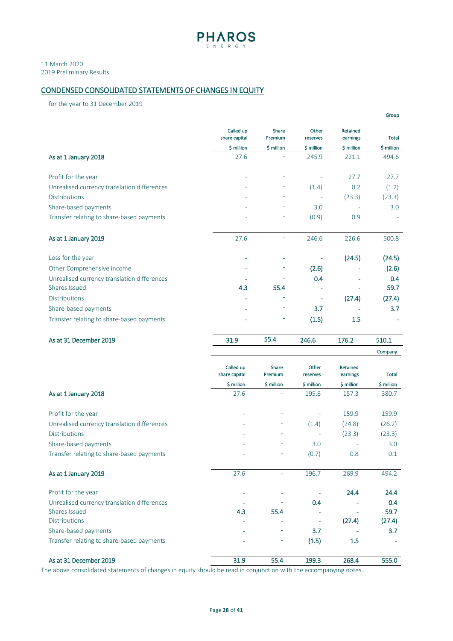

## CONDENSED CONSOLIDATED STATEMENTS OF CHANGES IN EQUITY

for the year to 31 December 2019

|                                             |                            |                  |                   |                      | Group        |
|---------------------------------------------|----------------------------|------------------|-------------------|----------------------|--------------|
|                                             | Called up<br>share capital | Share<br>Premium | Other<br>reserves | Retained<br>earnings | <b>Total</b> |
|                                             | \$ million                 | \$ million       | \$ million        | \$ million           | \$ million   |
| As at 1 January 2018                        | 27.6                       |                  | 245.9             | 221.1                | 494.6        |
| Profit for the year                         |                            |                  |                   | 27.7                 | 27.7         |
| Unrealised currency translation differences |                            |                  | (1.4)             | 0.2                  | (1.2)        |
| <b>Distributions</b>                        |                            |                  |                   | (23.3)               | (23.3)       |
| Share-based payments                        |                            |                  | 3.0               |                      | 3.0          |
| Transfer relating to share-based payments   |                            |                  | (0.9)             | 0.9                  |              |
| As at 1 January 2019                        | 27.6                       |                  | 246.6             | 226.6                | 500.8        |
| Loss for the year                           |                            |                  |                   | (24.5)               | (24.5)       |
| Other Comprehensive income                  |                            |                  | (2.6)             |                      | (2.6)        |
| Unrealised currency translation differences |                            |                  | 0.4               |                      | 0.4          |
| Shares Issued                               | 4.3                        | 55.4             |                   |                      | 59.7         |
| <b>Distributions</b>                        |                            |                  |                   | (27.4)               | (27.4)       |
| Share-based payments                        |                            |                  | 3.7               |                      | 3.7          |
| Transfer relating to share-based payments   |                            |                  | (1.5)             | 1.5                  |              |
| As at 31 December 2019                      | 31.9                       | 55.4             | 246.6             | 176.2                | 510.1        |

|                                             |                            |                  |                   |                             | Company      |
|---------------------------------------------|----------------------------|------------------|-------------------|-----------------------------|--------------|
|                                             | Called up<br>share capital | Share<br>Premium | Other<br>reserves | <b>Retained</b><br>earnings | <b>Total</b> |
|                                             | \$ million                 | \$ million       | \$ million        | \$ million                  | \$ million   |
| As at 1 January 2018                        | 27.6                       |                  | 195.8             | 157.3                       | 380.7        |
| Profit for the year                         |                            |                  |                   | 159.9                       | 159.9        |
| Unrealised currency translation differences |                            |                  | (1.4)             | (24.8)                      | (26.2)       |
| <b>Distributions</b>                        |                            |                  |                   | (23.3)                      | (23.3)       |
| Share-based payments                        |                            | ٠                | 3.0               |                             | 3.0          |
| Transfer relating to share-based payments   |                            |                  | (0.7)             | 0.8                         | 0.1          |
| As at 1 January 2019                        | 27.6                       |                  | 196.7             | 269.9                       | 494.2        |
| Profit for the year                         |                            |                  |                   | 24.4                        | 24.4         |
| Unrealised currency translation differences |                            |                  | 0.4               |                             | 0.4          |
| Shares Issued                               | 4.3                        | 55.4             |                   |                             | 59.7         |
| <b>Distributions</b>                        |                            |                  |                   | (27.4)                      | (27.4)       |
| Share-based payments                        |                            | ٠                | 3.7               |                             | 3.7          |
| Transfer relating to share-based payments   |                            | ۰                | (1.5)             | 1.5                         |              |
| As at 31 December 2019                      | 31.9                       | 55.4             | 199.3             | 268.4                       | 555.0        |

The above consolidated statements of changes in equity should be read in conjunction with the accompanying notes.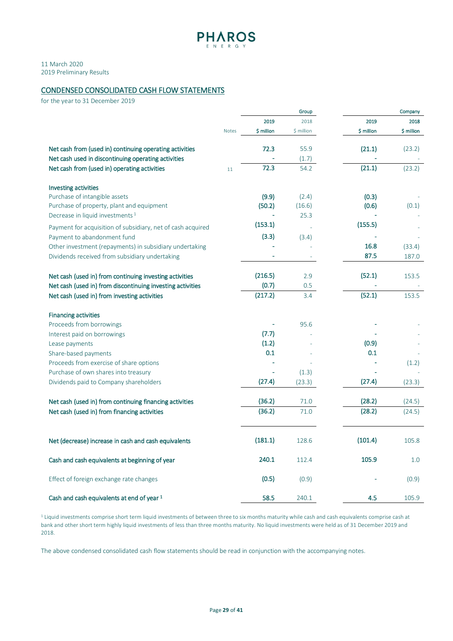

## CONDENSED CONSOLIDATED CASH FLOW STATEMENTS

for the year to 31 December 2019

|                                                             |              |            | Group      |            | Company    |
|-------------------------------------------------------------|--------------|------------|------------|------------|------------|
|                                                             |              | 2019       | 2018       | 2019       | 2018       |
|                                                             | <b>Notes</b> | \$ million | \$ million | \$ million | \$ million |
|                                                             |              |            |            |            |            |
| Net cash from (used in) continuing operating activities     |              | 72.3       | 55.9       | (21.1)     | (23.2)     |
| Net cash used in discontinuing operating activities         |              |            | (1.7)      |            |            |
| Net cash from (used in) operating activities                | 11           | 72.3       | 54.2       | (21.1)     | (23.2)     |
| <b>Investing activities</b>                                 |              |            |            |            |            |
| Purchase of intangible assets                               |              | (9.9)      | (2.4)      | (0.3)      |            |
| Purchase of property, plant and equipment                   |              | (50.2)     | (16.6)     | (0.6)      | (0.1)      |
| Decrease in liquid investments <sup>1</sup>                 |              |            | 25.3       |            |            |
| Payment for acquisition of subsidiary, net of cash acquired |              | (153.1)    |            | (155.5)    |            |
| Payment to abandonment fund                                 |              | (3.3)      | (3.4)      |            |            |
| Other investment (repayments) in subsidiary undertaking     |              |            |            | 16.8       | (33.4)     |
| Dividends received from subsidiary undertaking              |              |            |            | 87.5       | 187.0      |
|                                                             |              |            |            |            |            |
| Net cash (used in) from continuing investing activities     |              | (216.5)    | 2.9        | (52.1)     | 153.5      |
| Net cash (used in) from discontinuing investing activities  |              | (0.7)      | 0.5        |            |            |
| Net cash (used in) from investing activities                |              | (217.2)    | 3.4        | (52.1)     | 153.5      |
|                                                             |              |            |            |            |            |
| <b>Financing activities</b>                                 |              |            |            |            |            |
| Proceeds from borrowings                                    |              |            | 95.6       |            |            |
| Interest paid on borrowings                                 |              | (7.7)      |            |            |            |
| Lease payments                                              |              | (1.2)      |            | (0.9)      |            |
| Share-based payments                                        |              | 0.1        |            | 0.1        |            |
| Proceeds from exercise of share options                     |              |            |            |            | (1.2)      |
| Purchase of own shares into treasury                        |              |            | (1.3)      |            |            |
| Dividends paid to Company shareholders                      |              | (27.4)     | (23.3)     | (27.4)     | (23.3)     |
| Net cash (used in) from continuing financing activities     |              | (36.2)     | 71.0       | (28.2)     | (24.5)     |
| Net cash (used in) from financing activities                |              | (36.2)     | 71.0       | (28.2)     | (24.5)     |
|                                                             |              |            |            |            |            |
|                                                             |              |            |            |            |            |
| Net (decrease) increase in cash and cash equivalents        |              | (181.1)    | 128.6      | (101.4)    | 105.8      |
| Cash and cash equivalents at beginning of year              |              | 240.1      | 112.4      | 105.9      | 1.0        |
| Effect of foreign exchange rate changes                     |              | (0.5)      | (0.9)      |            | (0.9)      |
| Cash and cash equivalents at end of year 1                  |              | 58.5       | 240.1      | 4.5        | 105.9      |

<sup>1</sup> Liquid investments comprise short term liquid investments of between three to six months maturity while cash and cash equivalents comprise cash at bank and other short term highly liquid investments of less than three months maturity. No liquid investments were held as of 31 December 2019 and 2018.

The above condensed consolidated cash flow statements should be read in conjunction with the accompanying notes.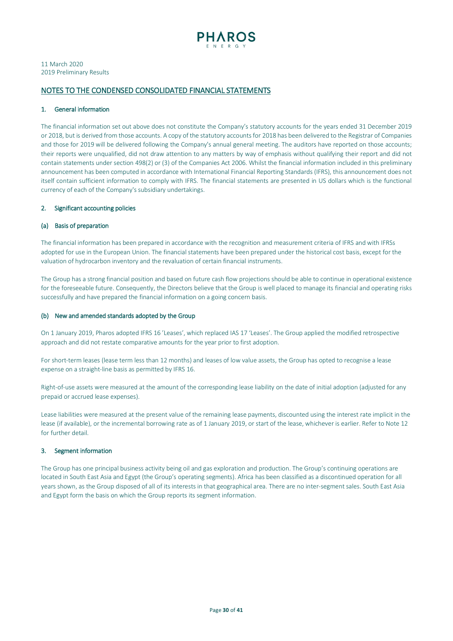

## NOTES TO THE CONDENSED CONSOLIDATED FINANCIAL STATEMENTS

## 1. General information

The financial information set out above does not constitute the Company's statutory accounts for the years ended 31 December 2019 or 2018, but is derived from those accounts. A copy of the statutory accounts for 2018 has been delivered to the Registrar of Companies and those for 2019 will be delivered following the Company's annual general meeting. The auditors have reported on those accounts; their reports were unqualified, did not draw attention to any matters by way of emphasis without qualifying their report and did not contain statements under section 498(2) or (3) of the Companies Act 2006. Whilst the financial information included in this preliminary announcement has been computed in accordance with International Financial Reporting Standards (IFRS), this announcement does not itself contain sufficient information to comply with IFRS. The financial statements are presented in US dollars which is the functional currency of each of the Company's subsidiary undertakings.

#### 2. Significant accounting policies

#### (a) Basis of preparation

The financial information has been prepared in accordance with the recognition and measurement criteria of IFRS and with IFRSs adopted for use in the European Union. The financial statements have been prepared under the historical cost basis, except for the valuation of hydrocarbon inventory and the revaluation of certain financial instruments.

The Group has a strong financial position and based on future cash flow projections should be able to continue in operational existence for the foreseeable future. Consequently, the Directors believe that the Group is well placed to manage its financial and operating risks successfully and have prepared the financial information on a going concern basis.

#### (b) New and amended standards adopted by the Group

On 1 January 2019, Pharos adopted IFRS 16 'Leases', which replaced IAS 17 'Leases'. The Group applied the modified retrospective approach and did not restate comparative amounts for the year prior to first adoption.

For short-term leases (lease term less than 12 months) and leases of low value assets, the Group has opted to recognise a lease expense on a straight-line basis as permitted by IFRS 16.

Right-of-use assets were measured at the amount of the corresponding lease liability on the date of initial adoption (adjusted for any prepaid or accrued lease expenses).

Lease liabilities were measured at the present value of the remaining lease payments, discounted using the interest rate implicit in the lease (if available), or the incremental borrowing rate as of 1 January 2019, or start of the lease, whichever is earlier. Refer to Note 12 for further detail.

#### 3. Segment information

The Group has one principal business activity being oil and gas exploration and production. The Group's continuing operations are located in South East Asia and Egypt (the Group's operating segments). Africa has been classified as a discontinued operation for all years shown, as the Group disposed of all of its interests in that geographical area. There are no inter-segment sales. South East Asia and Egypt form the basis on which the Group reports its segment information.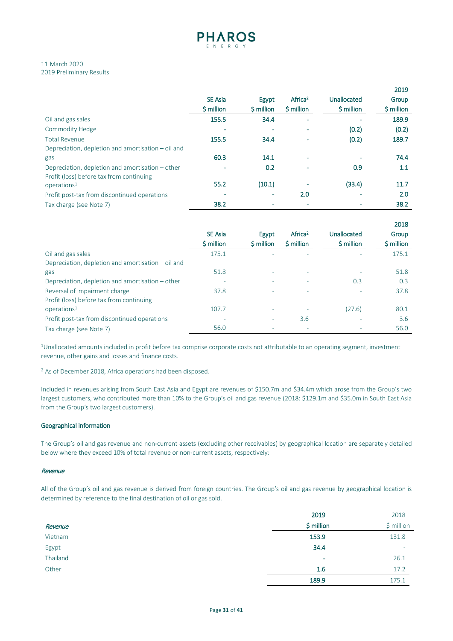

|                                                    |                |            |                     |             | 2019       |
|----------------------------------------------------|----------------|------------|---------------------|-------------|------------|
|                                                    | <b>SE Asia</b> | Egypt      | Africa <sup>2</sup> | Unallocated | Group      |
|                                                    | \$ million     | \$ million | \$ million          | \$ million  | \$ million |
| Oil and gas sales                                  | 155.5          | 34.4       |                     |             | 189.9      |
| Commodity Hedge                                    |                |            |                     | (0.2)       | (0.2)      |
| <b>Total Revenue</b>                               | 155.5          | 34.4       |                     | (0.2)       | 189.7      |
| Depreciation, depletion and amortisation – oil and |                |            |                     |             |            |
| gas                                                | 60.3           | 14.1       |                     |             | 74.4       |
| Depreciation, depletion and amortisation – other   |                | 0.2        |                     | 0.9         | 1.1        |
| Profit (loss) before tax from continuing           |                |            |                     |             |            |
| operations <sup>1</sup>                            | 55.2           | (10.1)     |                     | (33.4)      | 11.7       |
| Profit post-tax from discontinued operations       |                |            | 2.0                 |             | 2.0        |
| Tax charge (see Note 7)                            | 38.2           |            |                     |             | 38.2       |

|                                                    |                |            |                     |             | 2018        |
|----------------------------------------------------|----------------|------------|---------------------|-------------|-------------|
|                                                    | <b>SE Asia</b> | Egypt      | Africa <sup>2</sup> | Unallocated | Group       |
|                                                    | \$ million     | \$ million | \$ million          | \$ million  | $$$ million |
| Oil and gas sales                                  | 175.1          |            |                     |             | 175.1       |
| Depreciation, depletion and amortisation – oil and |                |            |                     |             |             |
| gas                                                | 51.8           | ÷          |                     |             | 51.8        |
| Depreciation, depletion and amortisation – other   |                |            |                     | 0.3         | 0.3         |
| Reversal of impairment charge                      | 37.8           | ٠          | -                   | ۰           | 37.8        |
| Profit (loss) before tax from continuing           |                |            |                     |             |             |
| operations <sup>1</sup>                            | 107.7          | ٠          | ۰                   | (27.6)      | 80.1        |
| Profit post-tax from discontinued operations       |                | ٠          | 3.6                 |             | 3.6         |
| Tax charge (see Note 7)                            | 56.0           |            |                     |             | 56.0        |

1Unallocated amounts included in profit before tax comprise corporate costs not attributable to an operating segment, investment revenue, other gains and losses and finance costs.

<sup>2</sup> As of December 2018, Africa operations had been disposed.

Included in revenues arising from South East Asia and Egypt are revenues of \$150.7m and \$34.4m which arose from the Group's two largest customers, who contributed more than 10% to the Group's oil and gas revenue (2018: \$129.1m and \$35.0m in South East Asia from the Group's two largest customers).

## Geographical information

The Group's oil and gas revenue and non-current assets (excluding other receivables) by geographical location are separately detailed below where they exceed 10% of total revenue or non-current assets, respectively:

## Revenue

All of the Group's oil and gas revenue is derived from foreign countries. The Group's oil and gas revenue by geographical location is determined by reference to the final destination of oil or gas sold.

|          | 2019       | 2018       |
|----------|------------|------------|
| Revenue  | \$ million | \$ million |
| Vietnam  | 153.9      | 131.8      |
| Egypt    | 34.4       | ۰          |
| Thailand | ۰          | 26.1       |
| Other    | 1.6        | 17.2       |
|          | 189.9      | 175.1      |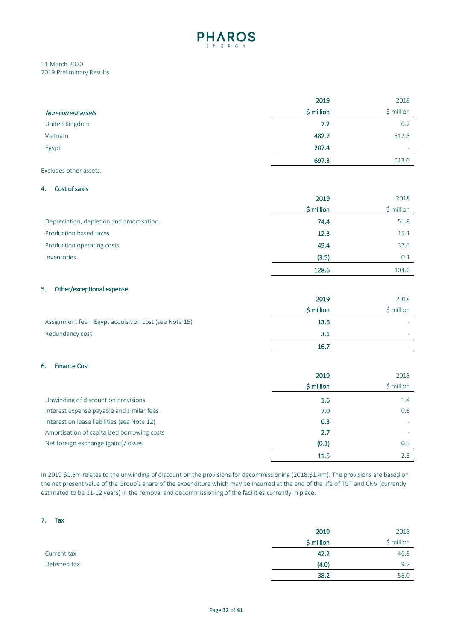

|                    | 2019        | 2018                     |
|--------------------|-------------|--------------------------|
| Non-current assets | $$$ million | \$ million               |
| United Kingdom     | 7.2         | 0.2                      |
| Vietnam            | 482.7       | 512.8                    |
| Egypt              | 207.4       | $\overline{\phantom{a}}$ |
|                    | 697.3       | 513.0                    |

# Excludes other assets.

## 4. Cost of sales

|                                          | 2019       | 2018       |
|------------------------------------------|------------|------------|
|                                          | \$ million | \$ million |
| Depreciation, depletion and amortisation | 74.4       | 51.8       |
| Production based taxes                   | 12.3       | 15.1       |
| Production operating costs               | 45.4       | 37.6       |
| Inventories                              | (3.5)      | 0.1        |
|                                          | 128.6      | 104.6      |

## 5. Other/exceptional expense

|                                                       | 2019       | 2018       |
|-------------------------------------------------------|------------|------------|
|                                                       | \$ million | \$ million |
| Assignment fee - Egypt acquisition cost (see Note 15) | 13.6       | -          |
| Redundancy cost                                       | 3.1        |            |
|                                                       | 16.7       | -          |

## 6. Finance Cost

|                                             | 2019       | 2018          |
|---------------------------------------------|------------|---------------|
|                                             | \$ million | $$$ million   |
| Unwinding of discount on provisions         | 1.6        | $1.4^{\circ}$ |
| Interest expense payable and similar fees   | 7.0        | 0.6           |
| Interest on lease liabilities (see Note 12) | 0.3        |               |
| Amortisation of capitalised borrowing costs | 2.7        |               |
| Net foreign exchange (gains)/losses         | (0.1)      | 0.5           |
|                                             | 11.5       | 2.5           |

In 2019 \$1.6m relates to the unwinding of discount on the provisions for decommissioning (2018:\$1.4m). The provisions are based on the net present value of the Group's share of the expenditure which may be incurred at the end of the life of TGT and CNV (currently estimated to be 11-12 years) in the removal and decommissioning of the facilities currently in place.

| 7.<br>Tax    |            |            |
|--------------|------------|------------|
|              | 2019       | 2018       |
|              | \$ million | \$ million |
| Current tax  | 42.2       | 46.8       |
| Deferred tax | (4.0)      | 9.2        |
|              | 38.2       | 56.0       |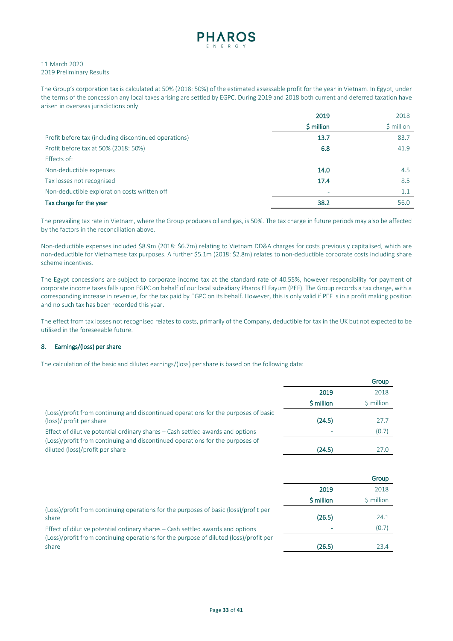

The Group's corporation tax is calculated at 50% (2018: 50%) of the estimated assessable profit for the year in Vietnam. In Egypt, under the terms of the concession any local taxes arising are settled by EGPC. During 2019 and 2018 both current and deferred taxation have arisen in overseas jurisdictions only.

|                                                       | 2019       | 2018       |
|-------------------------------------------------------|------------|------------|
|                                                       | \$ million | \$ million |
| Profit before tax (including discontinued operations) | 13.7       | 83.7       |
| Profit before tax at 50% (2018: 50%)                  | 6.8        | 41.9       |
| Effects of:                                           |            |            |
| Non-deductible expenses                               | 14.0       | 4.5        |
| Tax losses not recognised                             | 17.4       | 8.5        |
| Non-deductible exploration costs written off          |            | 1.1        |
| Tax charge for the year                               | 38.2       | 56.0       |

The prevailing tax rate in Vietnam, where the Group produces oil and gas, is 50%. The tax charge in future periods may also be affected by the factors in the reconciliation above.

Non-deductible expenses included \$8.9m (2018: \$6.7m) relating to Vietnam DD&A charges for costs previously capitalised, which are non-deductible for Vietnamese tax purposes. A further \$5.1m (2018: \$2.8m) relates to non-deductible corporate costs including share scheme incentives.

The Egypt concessions are subject to corporate income tax at the standard rate of 40.55%, however responsibility for payment of corporate income taxes falls upon EGPC on behalf of our local subsidiary Pharos El Fayum (PEF). The Group records a tax charge, with a corresponding increase in revenue, for the tax paid by EGPC on its behalf. However, this is only valid if PEF is in a profit making position and no such tax has been recorded this year.

The effect from tax losses not recognised relates to costs, primarily of the Company, deductible for tax in the UK but not expected to be utilised in the foreseeable future.

## 8. Earnings/(loss) per share

The calculation of the basic and diluted earnings/(loss) per share is based on the following data:

|                                                                                                                  |            | Group      |
|------------------------------------------------------------------------------------------------------------------|------------|------------|
|                                                                                                                  | 2019       | 2018       |
|                                                                                                                  | \$ million | \$ million |
| (Loss)/profit from continuing and discontinued operations for the purposes of basic<br>(loss)/ profit per share  | (24.5)     | 27.7       |
| Effect of dilutive potential ordinary shares – Cash settled awards and options                                   |            | (0.7)      |
| (Loss)/profit from continuing and discontinued operations for the purposes of<br>diluted (loss)/profit per share | (24.5)     | 27.0       |
|                                                                                                                  |            |            |
|                                                                                                                  |            | Group      |
|                                                                                                                  | 2019       | 2018       |
|                                                                                                                  | \$ million | \$ million |
| (Loss)/profit from continuing operations for the purposes of basic (loss)/profit per<br>share                    | (26.5)     | 24.1       |
| Effect of dilutive potential ordinary shares - Cash settled awards and options                                   |            | (0.7)      |
| (Loss)/profit from continuing operations for the purpose of diluted (loss)/profit per<br>share                   | (26.5)     | 23.4       |
|                                                                                                                  |            |            |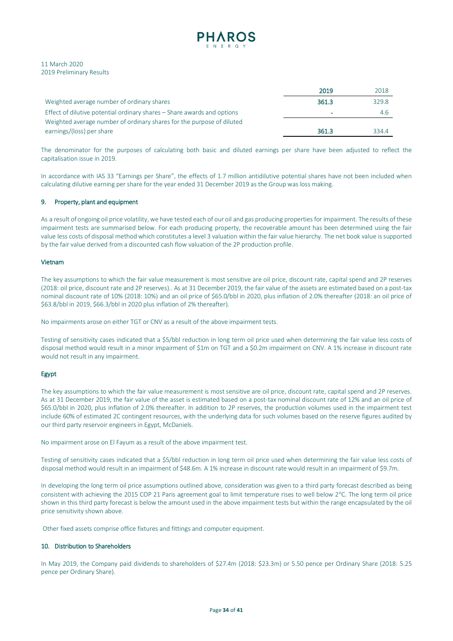

|                                                                         | 2019  | 2018  |
|-------------------------------------------------------------------------|-------|-------|
| Weighted average number of ordinary shares                              | 361.3 | 329.8 |
| Effect of dilutive potential ordinary shares – Share awards and options |       | 4.6   |
| Weighted average number of ordinary shares for the purpose of diluted   |       |       |
| earnings/(loss) per share                                               | 361.3 | 334.4 |

The denominator for the purposes of calculating both basic and diluted earnings per share have been adjusted to reflect the capitalisation issue in 2019.

In accordance with IAS 33 "Earnings per Share", the effects of 1.7 million antidilutive potential shares have not been included when calculating dilutive earning per share for the year ended 31 December 2019 as the Group was loss making.

## 9. Property, plant and equipment

As a result of ongoing oil price volatility, we have tested each of our oil and gas producing properties for impairment. The results of these impairment tests are summarised below. For each producing property, the recoverable amount has been determined using the fair value less costs of disposal method which constitutes a level 3 valuation within the fair value hierarchy. The net book value is supported by the fair value derived from a discounted cash flow valuation of the 2P production profile.

#### Vietnam

The key assumptions to which the fair value measurement is most sensitive are oil price, discount rate, capital spend and 2P reserves (2018: oil price, discount rate and 2P reserves).. As at 31 December 2019, the fair value of the assets are estimated based on a post-tax nominal discount rate of 10% (2018: 10%) and an oil price of \$65.0/bbl in 2020, plus inflation of 2.0% thereafter (2018: an oil price of \$63.8/bbl in 2019, \$66.3/bbl in 2020 plus inflation of 2% thereafter).

No impairments arose on either TGT or CNV as a result of the above impairment tests.

Testing of sensitivity cases indicated that a \$5/bbl reduction in long term oil price used when determining the fair value less costs of disposal method would result in a minor impairment of \$1m on TGT and a \$0.2m impairment on CNV. A 1% increase in discount rate would not result in any impairment.

## Egypt

The key assumptions to which the fair value measurement is most sensitive are oil price, discount rate, capital spend and 2P reserves. As at 31 December 2019, the fair value of the asset is estimated based on a post-tax nominal discount rate of 12% and an oil price of \$65.0/bbl in 2020, plus inflation of 2.0% thereafter. In addition to 2P reserves, the production volumes used in the impairment test include 60% of estimated 2C contingent resources, with the underlying data for such volumes based on the reserve figures audited by our third party reservoir engineers in Egypt, McDaniels.

No impairment arose on El Fayum as a result of the above impairment test.

Testing of sensitivity cases indicated that a \$5/bbl reduction in long term oil price used when determining the fair value less costs of disposal method would result in an impairment of \$48.6m. A 1% increase in discount rate would result in an impairment of \$9.7m.

In developing the long term oil price assumptions outlined above, consideration was given to a third party forecast described as being consistent with achieving the 2015 COP 21 Paris agreement goal to limit temperature rises to well below 2°C. The long term oil price shown in this third party forecast is below the amount used in the above impairment tests but within the range encapsulated by the oil price sensitivity shown above.

Other fixed assets comprise office fixtures and fittings and computer equipment.

## 10. Distribution to Shareholders

In May 2019, the Company paid dividends to shareholders of \$27.4m (2018: \$23.3m) or 5.50 pence per Ordinary Share (2018: 5.25 pence per Ordinary Share).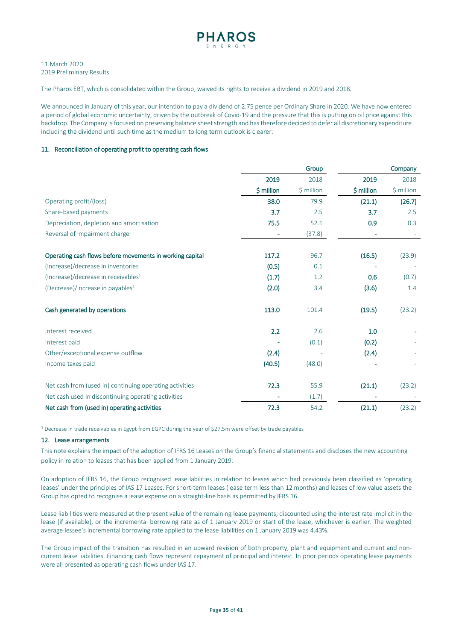

The Pharos EBT, which is consolidated within the Group, waived its rights to receive a dividend in 2019 and 2018.

We announced in January of this year, our intention to pay a dividend of 2.75 pence per Ordinary Share in 2020. We have now entered a period of global economic uncertainty, driven by the outbreak of Covid-19 and the pressure that this is putting on oil price against this backdrop. The Company is focused on preserving balance sheet strength and has therefore decided to defer all discretionary expenditure including the dividend until such time as the medium to long term outlook is clearer.

## 11. Reconciliation of operating profit to operating cash flows

|                                                          |            | Group      |            | Company    |
|----------------------------------------------------------|------------|------------|------------|------------|
|                                                          | 2019       | 2018       | 2019       | 2018       |
|                                                          | \$ million | \$ million | \$ million | \$ million |
| Operating profit/(loss)                                  | 38.0       | 79.9       | (21.1)     | (26.7)     |
| Share-based payments                                     | 3.7        | 2.5        | 3.7        | 2.5        |
| Depreciation, depletion and amortisation                 | 75.5       | 52.1       | 0.9        | 0.3        |
| Reversal of impairment charge                            |            | (37.8)     |            |            |
| Operating cash flows before movements in working capital | 117.2      | 96.7       | (16.5)     | (23.9)     |
| (Increase)/decrease in inventories                       | (0.5)      | 0.1        |            |            |
| (Increase)/decrease in receivables <sup>1</sup>          | (1.7)      | 1.2        | 0.6        | (0.7)      |
| (Decrease)/increase in payables <sup>1</sup>             | (2.0)      | 3.4        | (3.6)      | 1.4        |
| Cash generated by operations                             | 113.0      | 101.4      | (19.5)     | (23.2)     |
| Interest received                                        | 2.2        | 2.6        | 1.0        |            |
| Interest paid                                            |            | (0.1)      | (0.2)      |            |
| Other/exceptional expense outflow                        | (2.4)      |            | (2.4)      |            |
| Income taxes paid                                        | (40.5)     | (48.0)     |            |            |
| Net cash from (used in) continuing operating activities  | 72.3       | 55.9       | (21.1)     | (23.2)     |
| Net cash used in discontinuing operating activities      |            | (1.7)      |            |            |
| Net cash from (used in) operating activities             | 72.3       | 54.2       | (21.1)     | (23.2)     |

<sup>1</sup> Decrease in trade receivables in Egypt from EGPC during the year of \$27.5m were offset by trade payables

### 12. Lease arrangements

This note explains the impact of the adoption of IFRS 16 Leases on the Group's financial statements and discloses the new accounting policy in relation to leases that has been applied from 1 January 2019.

On adoption of IFRS 16, the Group recognised lease labilities in relation to leases which had previously been classified as 'operating leases' under the principles of IAS 17 Leases. For short-term leases (lease term less than 12 months) and leases of low value assets the Group has opted to recognise a lease expense on a straight-line basis as permitted by IFRS 16.

Lease liabilities were measured at the present value of the remaining lease payments, discounted using the interest rate implicit in the lease (if available), or the incremental borrowing rate as of 1 January 2019 or start of the lease, whichever is earlier. The weighted average lessee's incremental borrowing rate applied to the lease liabilities on 1 January 2019 was 4.43%.

The Group impact of the transition has resulted in an upward revision of both property, plant and equipment and current and noncurrent lease liabilities. Financing cash flows represent repayment of principal and interest. In prior periods operating lease payments were all presented as operating cash flows under IAS 17.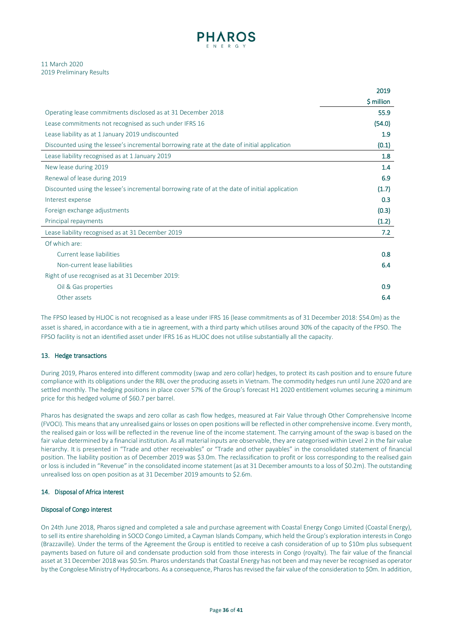

|                                                                                                | 2019       |
|------------------------------------------------------------------------------------------------|------------|
|                                                                                                | \$ million |
| Operating lease commitments disclosed as at 31 December 2018                                   | 55.9       |
| Lease commitments not recognised as such under IFRS 16                                         | (54.0)     |
| Lease liability as at 1 January 2019 undiscounted                                              | 1.9        |
| Discounted using the lessee's incremental borrowing rate at the date of initial application    | (0.1)      |
| Lease liability recognised as at 1 January 2019                                                | 1.8        |
| New lease during 2019                                                                          | 1.4        |
| Renewal of lease during 2019                                                                   | 6.9        |
| Discounted using the lessee's incremental borrowing rate of at the date of initial application | (1.7)      |
| Interest expense                                                                               | 0.3        |
| Foreign exchange adjustments                                                                   | (0.3)      |
| Principal repayments                                                                           | (1.2)      |
| Lease liability recognised as at 31 December 2019                                              | 7.2        |
| Of which are:                                                                                  |            |
| Current lease liabilities                                                                      | 0.8        |
| Non-current lease liabilities                                                                  | 6.4        |
| Right of use recognised as at 31 December 2019:                                                |            |
| Oil & Gas properties                                                                           | 0.9        |
| Other assets                                                                                   | 6.4        |

The FPSO leased by HLJOC is not recognised as a lease under IFRS 16 (lease commitments as of 31 December 2018: \$54.0m) as the asset is shared, in accordance with a tie in agreement, with a third party which utilises around 30% of the capacity of the FPSO. The FPSO facility is not an identified asset under IFRS 16 as HLJOC does not utilise substantially all the capacity.

## 13. Hedge transactions

During 2019, Pharos entered into different commodity (swap and zero collar) hedges, to protect its cash position and to ensure future compliance with its obligations under the RBL over the producing assets in Vietnam. The commodity hedges run until June 2020 and are settled monthly. The hedging positions in place cover 57% of the Group's forecast H1 2020 entitlement volumes securing a minimum price for this hedged volume of \$60.7 per barrel.

Pharos has designated the swaps and zero collar as cash flow hedges, measured at Fair Value through Other Comprehensive Income (FVOCI). This means that any unrealised gains or losses on open positions will be reflected in other comprehensive income. Every month, the realised gain or loss will be reflected in the revenue line of the income statement. The carrying amount of the swap is based on the fair value determined by a financial institution. As all material inputs are observable, they are categorised within Level 2 in the fair value hierarchy. It is presented in "Trade and other receivables" or "Trade and other payables" in the consolidated statement of financial position. The liability position as of December 2019 was \$3.0m. The reclassification to profit or loss corresponding to the realised gain or loss is included in "Revenue" in the consolidated income statement (as at 31 December amounts to a loss of \$0.2m). The outstanding unrealised loss on open position as at 31 December 2019 amounts to \$2.6m.

#### 14. Disposal of Africa interest

## Disposal of Congo interest

On 24th June 2018, Pharos signed and completed a sale and purchase agreement with Coastal Energy Congo Limited (Coastal Energy), to sell its entire shareholding in SOCO Congo Limited, a Cayman Islands Company, which held the Group's exploration interestsin Congo (Brazzaville). Under the terms of the Agreement the Group is entitled to receive a cash consideration of up to \$10m plus subsequent payments based on future oil and condensate production sold from those interests in Congo (royalty). The fair value of the financial asset at 31 December 2018 was \$0.5m. Pharos understands that Coastal Energy has not been and may never be recognised as operator by the Congolese Ministry of Hydrocarbons. As a consequence, Pharos has revised the fair value of the consideration to \$0m. In addition,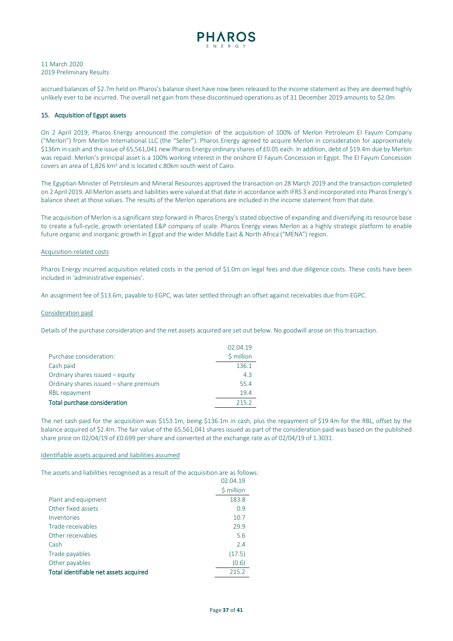

accrued balances of \$2.7m held on Pharos's balance sheet have now been released to the income statement as they are deemed highly unlikely ever to be incurred. The overall net gain from these discontinued operations as of 31 December 2019 amounts to \$2.0m.

## 15. Acquisition of Egypt assets

On 2 April 2019, Pharos Energy announced the completion of the acquisition of 100% of Merlon Petroleum El Fayum Company ("Merlon") from Merlon International LLC (the "Seller"). Pharos Energy agreed to acquire Merlon in consideration for approximately \$136m in cash and the issue of 65,561,041 new Pharos Energy ordinary shares of £0.05 each. In addition, debt of \$19.4m due by Merlon was repaid. Merlon's principal asset is a 100% working interest in the onshore El Fayum Concession in Egypt. The El Fayum Concession covers an area of 1,826 km2 and is located c.80km south west of Cairo.

The Egyptian Minister of Petroleum and Mineral Resources approved the transaction on 28 March 2019 and the transaction completed on 2 April 2019. All Merlon assets and liabilities were valued at that date in accordance with IFRS 3 and incorporated into Pharos Energy's balance sheet at those values. The results of the Merlon operations are included in the income statement from that date.

The acquisition of Merlon is a significant step forward in Pharos Energy's stated objective of expanding and diversifying its resource base to create a full-cycle, growth orientated E&P company of scale. Pharos Energy views Merlon as a highly strategic platform to enable future organic and inorganic growth in Egypt and the wider Middle East & North Africa ("MENA") region.

#### Acquisition-related costs

Pharos Energy incurred acquisition related costs in the period of \$1.0m on legal fees and due diligence costs. These costs have been included in 'administrative expenses'.

An assignment fee of \$13.6m, payable to EGPC, was later settled through an offset against receivables due from EGPC.

#### Consideration paid

Details of the purchase consideration and the net assets acquired are set out below. No goodwill arose on this transaction.

|                                        | 02.04.19   |
|----------------------------------------|------------|
| Purchase consideration:                | \$ million |
| Cash paid                              | 136.1      |
| Ordinary shares issued - equity        | 4.3        |
| Ordinary shares issued – share premium | 55.4       |
| RBL repayment                          | 19.4       |
| Total purchase consideration           | 215.2      |

The net cash paid for the acquisition was \$153.1m, being \$136.1m in cash, plus the repayment of \$19.4m for the RBL, offset by the balance acquired of \$2.4m. The fair value of the 65,561,041 shares issued as part of the consideration paid was based on the published share price on 02/04/19 of £0.699 per share and converted at the exchange rate as of 02/04/19 of 1.3031.

#### Identifiable assets acquired and liabilities assumed

The assets and liabilities recognised as a result of the acquisition are as follows:

|                                        | 02.04.19   |
|----------------------------------------|------------|
|                                        | \$ million |
| Plant and equipment                    | 183.8      |
| Other fixed assets                     | 0.9        |
| Inventories                            | 10.7       |
| Trade receivables                      | 29.9       |
| Other receivables                      | 5.6        |
| Cash                                   | 2.4        |
| Trade payables                         | (17.5)     |
| Other payables                         | (0.6)      |
| Total identifiable net assets acquired | 215.2      |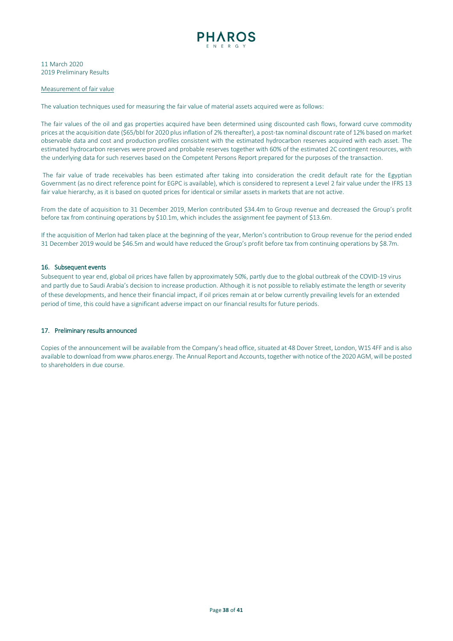

#### Measurement of fair value

The valuation techniques used for measuring the fair value of material assets acquired were as follows:

The fair values of the oil and gas properties acquired have been determined using discounted cash flows, forward curve commodity prices at the acquisition date (\$65/bbl for 2020 plus inflation of 2% thereafter), a post-tax nominal discount rate of 12% based on market observable data and cost and production profiles consistent with the estimated hydrocarbon reserves acquired with each asset. The estimated hydrocarbon reserves were proved and probable reserves together with 60% of the estimated 2C contingent resources, with the underlying data for such reserves based on the Competent Persons Report prepared for the purposes of the transaction.

The fair value of trade receivables has been estimated after taking into consideration the credit default rate for the Egyptian Government (as no direct reference point for EGPC is available), which is considered to represent a Level 2 fair value under the IFRS 13 fair value hierarchy, as it is based on quoted prices for identical or similar assets in markets that are not active.

From the date of acquisition to 31 December 2019, Merlon contributed \$34.4m to Group revenue and decreased the Group's profit before tax from continuing operations by \$10.1m, which includes the assignment fee payment of \$13.6m.

If the acquisition of Merlon had taken place at the beginning of the year, Merlon's contribution to Group revenue for the period ended 31 December 2019 would be \$46.5m and would have reduced the Group's profit before tax from continuing operations by \$8.7m.

## 16. Subsequent events

Subsequent to year end, global oil prices have fallen by approximately 50%, partly due to the global outbreak of the COVID-19 virus and partly due to Saudi Arabia's decision to increase production. Although it is not possible to reliably estimate the length or severity of these developments, and hence their financial impact, if oil prices remain at or below currently prevailing levels for an extended period of time, this could have a significant adverse impact on our financial results for future periods.

## 17. Preliminary results announced

Copies of the announcement will be available from the Company's head office, situated at 48 Dover Street, London, W1S 4FF and is also available to download from www.pharos.energy. The Annual Report and Accounts, together with notice of the 2020 AGM, will be posted to shareholders in due course.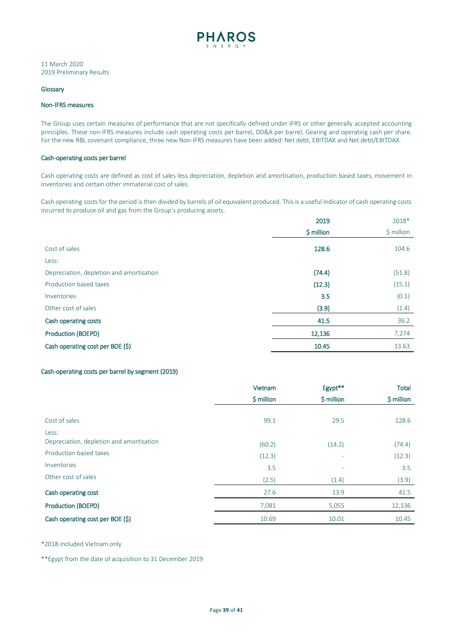

#### **Glossary**

## Non-IFRS measures

The Group uses certain measures of performance that are not specifically defined under IFRS or other generally accepted accounting principles. These non-IFRS measures include cash operating costs per barrel, DD&A per barrel, Gearing and operating cash per share. For the new RBL covenant compliance, three new Non-IFRS measures have been added: Net debt, EBITDAX and Net debt/EBITDAX.

#### Cash-operating costs per barrel

Cash operating costs are defined as cost of sales less depreciation, depletion and amortisation, production based taxes, movement in inventories and certain other immaterial cost of sales.

Cash operating costs for the period is then divided by barrels of oil equivalent produced. This is a useful indicator of cash operating costs incurred to produce oil and gas from the Group's producing assets.

|                                          | 2019        | 2018*       |
|------------------------------------------|-------------|-------------|
|                                          | $$$ million | $$$ million |
| Cost of sales                            | 128.6       | 104.6       |
| Less:                                    |             |             |
| Depreciation, depletion and amortisation | (74.4)      | (51.8)      |
| Production based taxes                   | (12.3)      | (15.1)      |
| Inventories                              | 3.5         | (0.1)       |
| Other cost of sales                      | (3.9)       | (1.4)       |
| Cash operating costs                     | 41.5        | 36.2        |
| <b>Production (BOEPD)</b>                | 12,136      | 7,274       |
| Cash operating cost per BOE (\$)         | 10.45       | 13.63       |
|                                          |             |             |

## Cash-operating costs per barrel by segment (2019)

|                                          | Vietnam     | Egypt**    | <b>Total</b> |
|------------------------------------------|-------------|------------|--------------|
|                                          | $$$ million | \$ million | $$$ million  |
|                                          |             |            |              |
| Cost of sales                            | 99.1        | 29.5       | 128.6        |
| Less:                                    |             |            |              |
| Depreciation, depletion and amortisation | (60.2)      | (14.2)     | (74.4)       |
| Production based taxes                   | (12.3)      | ۰          | (12.3)       |
| Inventories                              | 3.5         | ٠          | 3.5          |
| Other cost of sales                      | (2.5)       | (1.4)      | (3.9)        |
| Cash operating cost                      | 27.6        | 13.9       | 41.5         |
| Production (BOEPD)                       | 7,081       | 5,055      | 12,136       |
| Cash operating cost per BOE (\$)         | 10.69       | 10.01      | 10.45        |

\*2018 included Vietnam only

\*\*Egypt from the date of acquisition to 31 December 2019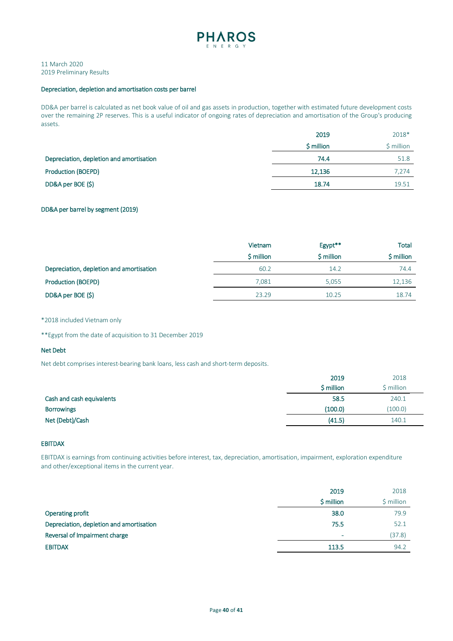

### Depreciation, depletion and amortisation costs per barrel

DD&A per barrel is calculated as net book value of oil and gas assets in production, together with estimated future development costs over the remaining 2P reserves. This is a useful indicator of ongoing rates of depreciation and amortisation of the Group's producing assets.

|                                          | 2019       | 2018*      |
|------------------------------------------|------------|------------|
|                                          | \$ million | \$ million |
| Depreciation, depletion and amortisation | 74.4       | 51.8       |
| Production (BOEPD)                       | 12,136     | 7,274      |
| DD&A per BOE (\$)                        | 18.74      | 19.51      |

## DD&A per barrel by segment (2019)

|                                          | Vietnam    | Egypt**    | <b>Total</b> |
|------------------------------------------|------------|------------|--------------|
|                                          | \$ million | \$ million | \$ million   |
| Depreciation, depletion and amortisation | 60.2       | 14.2       | 74.4         |
| <b>Production (BOEPD)</b>                | 7.081      | 5.055      | 12,136       |
| DD&A per BOE (\$)                        | 23.29      | 10.25      | 18.74        |

## \*2018 included Vietnam only

\*\*Egypt from the date of acquisition to 31 December 2019

## Net Debt

Net debt comprises interest-bearing bank loans, less cash and short-term deposits.

|                           | 2019       | 2018       |
|---------------------------|------------|------------|
|                           | \$ million | \$ million |
| Cash and cash equivalents | 58.5       | 240.1      |
| <b>Borrowings</b>         | (100.0)    | (100.0)    |
| Net (Debt)/Cash           | (41.5)     | 140.1      |

## EBITDAX

EBITDAX is earnings from continuing activities before interest, tax, depreciation, amortisation, impairment, exploration expenditure and other/exceptional items in the current year.

|                                          | 2019       | 2018       |
|------------------------------------------|------------|------------|
|                                          | \$ million | \$ million |
| Operating profit                         | 38.0       | 79.9       |
| Depreciation, depletion and amortisation | 75.5       | 52.1       |
| Reversal of Impairment charge            |            | (37.8)     |
| <b>EBITDAX</b>                           | 113.5      | 94.2       |